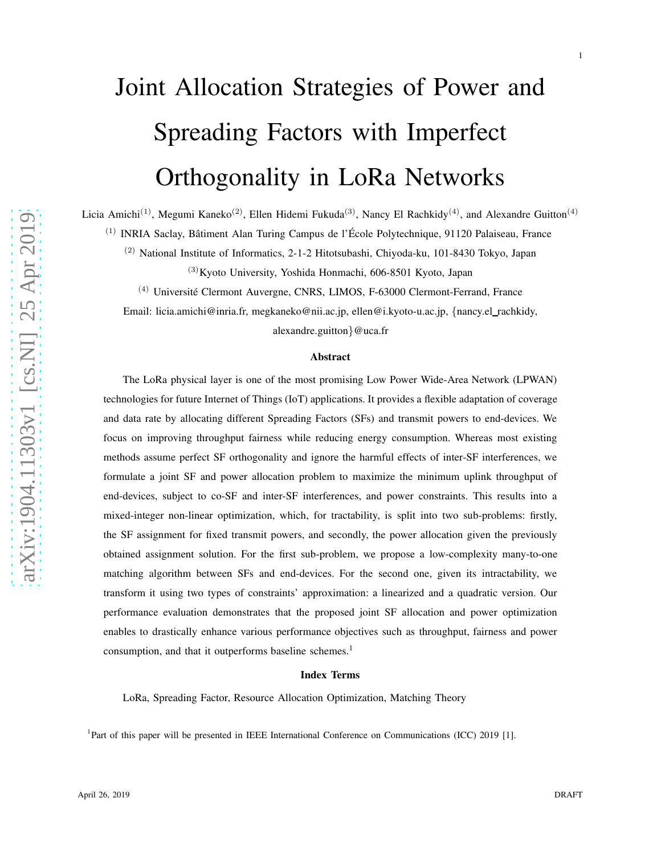# Joint Allocation Strategies of Power and Spreading Factors with Imperfect Orthogonality in LoRa Networks

Licia Amichi<sup>(1)</sup>, Megumi Kaneko<sup>(2)</sup>, Ellen Hidemi Fukuda<sup>(3)</sup>, Nancy El Rachkidy<sup>(4)</sup>, and Alexandre Guitton<sup>(4)</sup>

<sup>(1)</sup> INRIA Saclay, Bâtiment Alan Turing Campus de l'École Polytechnique, 91120 Palaiseau, France

(2) National Institute of Informatics, 2-1-2 Hitotsubashi, Chiyoda-ku, 101-8430 Tokyo, Japan

 $(3)$ Kyoto University, Yoshida Honmachi, 606-8501 Kyoto, Japan

 $(4)$  Université Clermont Auvergne, CNRS, LIMOS, F-63000 Clermont-Ferrand, France

Email: licia.amichi@inria.fr, megkaneko@nii.ac.jp, ellen@i.kyoto-u.ac.jp, {nancy.el\_rachkidy,

alexandre.guitton }@uca.fr

#### Abstract

The LoRa physical layer is one of the most promising Low Power Wide-Area Network (LPWAN) technologies for future Internet of Things (IoT) applications. It provides a flexible adaptation of coverage and data rate by allocating different Spreading Factors (SFs) and transmit powers to end-devices. We focus on improving throughput fairness while reducing energy consumption. Whereas most existing methods assume perfect SF orthogonality and ignore the harmful effects of inter-SF interferences, we formulate a joint SF and power allocation problem to maximize the minimum uplink throughput of end-devices, subject to co-SF and inter-SF interferences, and power constraints. This results into a mixed-integer non-linear optimization, which, for tractability, is split into two sub-problems: firstly, the SF assignment for fixed transmit powers, and secondly, the power allocation given the previously obtained assignment solution. For the first sub-problem, we propose a low-complexity many-to-one matching algorithm between SFs and end-devices. For the second one, given its intractability, we transform it using two types of constraints' approximation: a linearized and a quadratic version. Our performance evaluation demonstrates that the proposed joint SF allocation and power optimization enables to drastically enhance various performance objectives such as throughput, fairness and power consumption, and that it outperforms baseline schemes. 1

#### Index Terms

LoRa, Spreading Factor, Resource Allocation Optimization, Matching Theory

<sup>1</sup>Part of this paper will be presented in IEEE International Conference on Communications (ICC) 2019 [1].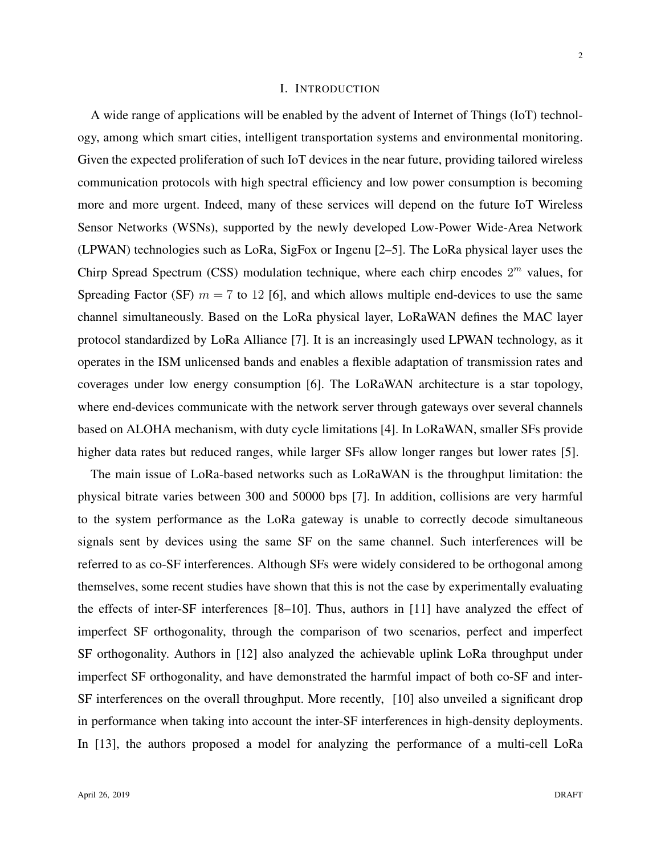### I. INTRODUCTION

A wide range of applications will be enabled by the advent of Internet of Things (IoT) technology, among which smart cities, intelligent transportation systems and environmental monitoring. Given the expected proliferation of such IoT devices in the near future, providing tailored wireless communication protocols with high spectral efficiency and low power consumption is becoming more and more urgent. Indeed, many of these services will depend on the future IoT Wireless Sensor Networks (WSNs), supported by the newly developed Low-Power Wide-Area Network (LPWAN) technologies such as LoRa, SigFox or Ingenu [2–5]. The LoRa physical layer uses the Chirp Spread Spectrum (CSS) modulation technique, where each chirp encodes  $2<sup>m</sup>$  values, for Spreading Factor (SF)  $m = 7$  to 12 [6], and which allows multiple end-devices to use the same channel simultaneously. Based on the LoRa physical layer, LoRaWAN defines the MAC layer protocol standardized by LoRa Alliance [7]. It is an increasingly used LPWAN technology, as it operates in the ISM unlicensed bands and enables a flexible adaptation of transmission rates and coverages under low energy consumption [6]. The LoRaWAN architecture is a star topology, where end-devices communicate with the network server through gateways over several channels based on ALOHA mechanism, with duty cycle limitations [4]. In LoRaWAN, smaller SFs provide higher data rates but reduced ranges, while larger SFs allow longer ranges but lower rates [5].

The main issue of LoRa-based networks such as LoRaWAN is the throughput limitation: the physical bitrate varies between 300 and 50000 bps [7]. In addition, collisions are very harmful to the system performance as the LoRa gateway is unable to correctly decode simultaneous signals sent by devices using the same SF on the same channel. Such interferences will be referred to as co-SF interferences. Although SFs were widely considered to be orthogonal among themselves, some recent studies have shown that this is not the case by experimentally evaluating the effects of inter-SF interferences [8–10]. Thus, authors in [11] have analyzed the effect of imperfect SF orthogonality, through the comparison of two scenarios, perfect and imperfect SF orthogonality. Authors in [12] also analyzed the achievable uplink LoRa throughput under imperfect SF orthogonality, and have demonstrated the harmful impact of both co-SF and inter-SF interferences on the overall throughput. More recently, [10] also unveiled a significant drop in performance when taking into account the inter-SF interferences in high-density deployments. In [13], the authors proposed a model for analyzing the performance of a multi-cell LoRa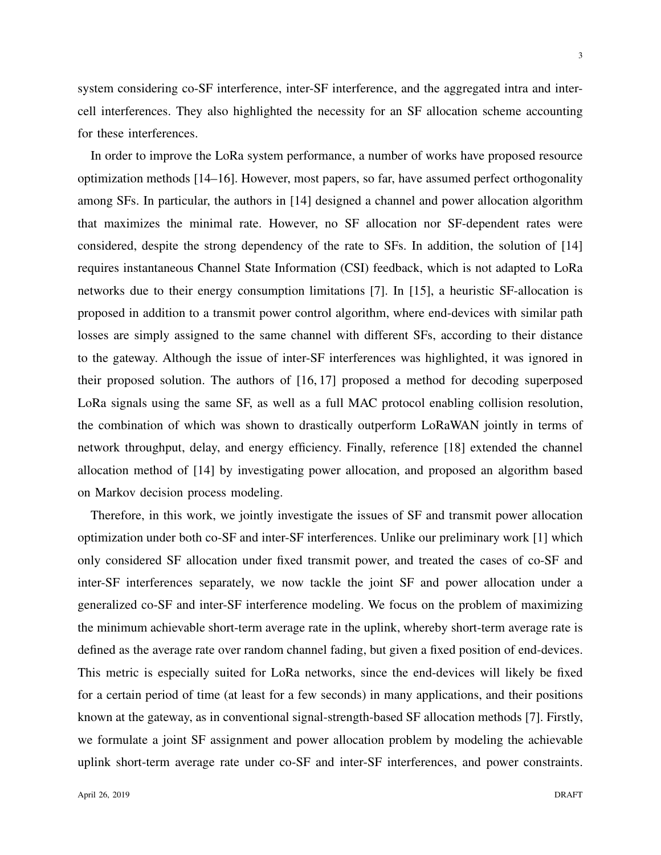system considering co-SF interference, inter-SF interference, and the aggregated intra and intercell interferences. They also highlighted the necessity for an SF allocation scheme accounting for these interferences.

In order to improve the LoRa system performance, a number of works have proposed resource optimization methods [14–16]. However, most papers, so far, have assumed perfect orthogonality among SFs. In particular, the authors in [14] designed a channel and power allocation algorithm that maximizes the minimal rate. However, no SF allocation nor SF-dependent rates were considered, despite the strong dependency of the rate to SFs. In addition, the solution of [14] requires instantaneous Channel State Information (CSI) feedback, which is not adapted to LoRa networks due to their energy consumption limitations [7]. In [15], a heuristic SF-allocation is proposed in addition to a transmit power control algorithm, where end-devices with similar path losses are simply assigned to the same channel with different SFs, according to their distance to the gateway. Although the issue of inter-SF interferences was highlighted, it was ignored in their proposed solution. The authors of [16, 17] proposed a method for decoding superposed LoRa signals using the same SF, as well as a full MAC protocol enabling collision resolution, the combination of which was shown to drastically outperform LoRaWAN jointly in terms of network throughput, delay, and energy efficiency. Finally, reference [18] extended the channel allocation method of [14] by investigating power allocation, and proposed an algorithm based on Markov decision process modeling.

Therefore, in this work, we jointly investigate the issues of SF and transmit power allocation optimization under both co-SF and inter-SF interferences. Unlike our preliminary work [1] which only considered SF allocation under fixed transmit power, and treated the cases of co-SF and inter-SF interferences separately, we now tackle the joint SF and power allocation under a generalized co-SF and inter-SF interference modeling. We focus on the problem of maximizing the minimum achievable short-term average rate in the uplink, whereby short-term average rate is defined as the average rate over random channel fading, but given a fixed position of end-devices. This metric is especially suited for LoRa networks, since the end-devices will likely be fixed for a certain period of time (at least for a few seconds) in many applications, and their positions known at the gateway, as in conventional signal-strength-based SF allocation methods [7]. Firstly, we formulate a joint SF assignment and power allocation problem by modeling the achievable uplink short-term average rate under co-SF and inter-SF interferences, and power constraints.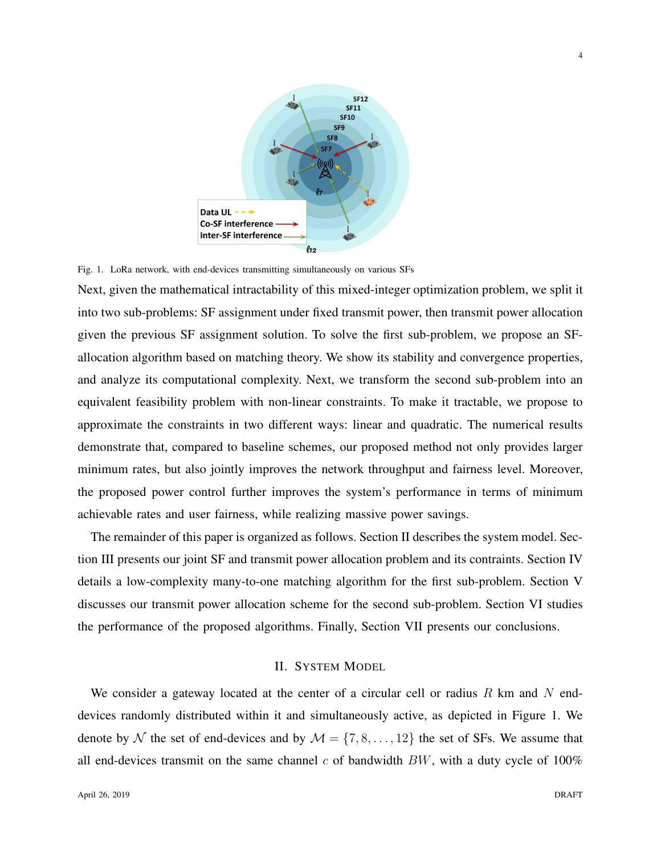

Fig. 1. LoRa network, with end-devices transmitting simultaneously on various SFs

Next, given the mathematical intractability of this mixed-integer optimization problem, we split it into two sub-problems: SF assignment under fixed transmit power, then transmit power allocation given the previous SF assignment solution. To solve the first sub-problem, we propose an SFallocation algorithm based on matching theory. We show its stability and convergence properties, and analyze its computational complexity. Next, we transform the second sub-problem into an equivalent feasibility problem with non-linear constraints. To make it tractable, we propose to approximate the constraints in two different ways: linear and quadratic. The numerical results demonstrate that, compared to baseline schemes, our proposed method not only provides larger minimum rates, but also jointly improves the network throughput and fairness level. Moreover, the proposed power control further improves the system's performance in terms of minimum achievable rates and user fairness, while realizing massive power savings.

The remainder of this paper is organized as follows. Section II describes the system model. Section III presents our joint SF and transmit power allocation problem and its contraints. Section IV details a low-complexity many-to-one matching algorithm for the first sub-problem. Section V discusses our transmit power allocation scheme for the second sub-problem. Section VI studies the performance of the proposed algorithms. Finally, Section VII presents our conclusions.

#### II. SYSTEM MODEL

We consider a gateway located at the center of a circular cell or radius R km and N enddevices randomly distributed within it and simultaneously active, as depicted in Figure 1. We denote by N the set of end-devices and by  $M = \{7, 8, \ldots, 12\}$  the set of SFs. We assume that all end-devices transmit on the same channel  $c$  of bandwidth  $BW$ , with a duty cycle of 100%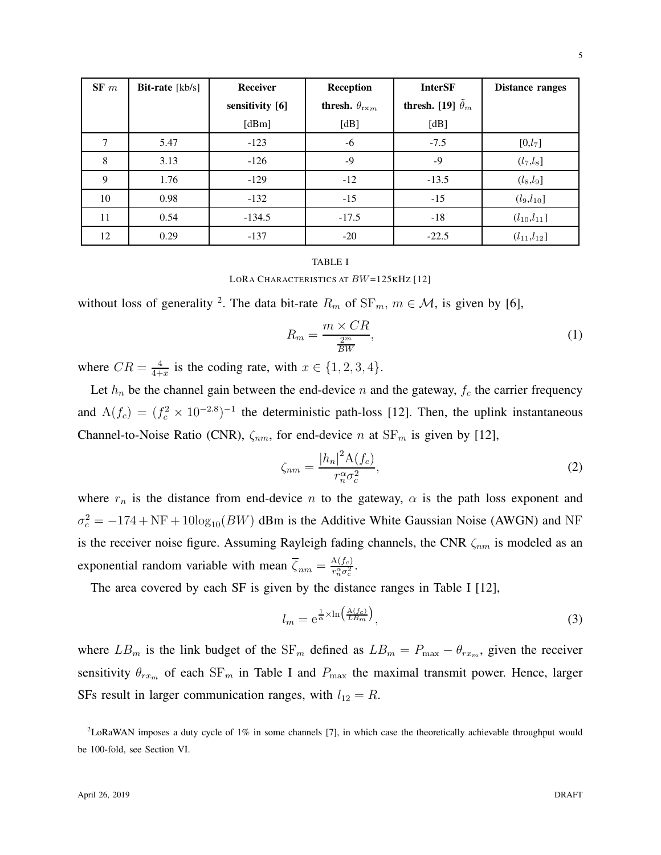| SF~m | <b>Bit-rate</b> $[kb/s]$ | Receiver        | Reception                     | <b>InterSF</b>                  | <b>Distance ranges</b> |
|------|--------------------------|-----------------|-------------------------------|---------------------------------|------------------------|
|      |                          | sensitivity [6] | thresh. $\theta_{r \times m}$ | thresh. [19] $\tilde{\theta}_m$ |                        |
|      |                          | [dBm]           | [dB]                          | [dB]                            |                        |
| 7    | 5.47                     | $-123$          | -6                            | $-7.5$                          | [0,l <sub>7</sub> ]    |
| 8    | 3.13                     | $-126$          | $-9$                          | $-9$                            | $(l_7,l_8]$            |
| 9    | 1.76                     | $-129$          | $-12$                         | $-13.5$                         | $(l_8, l_9]$           |
| 10   | 0.98                     | $-132$          | $-15$                         | $-15$                           | $(l_9,l_{10}]$         |
| 11   | 0.54                     | $-134.5$        | $-17.5$                       | $-18$                           | $(l_{10},l_{11}]$      |
| 12   | 0.29                     | $-137$          | $-20$                         | $-22.5$                         | $(l_{11}, l_{12}]$     |

#### TABLE I

LORA CHARACTERISTICS AT BW=125KHZ [12]

without loss of generality <sup>2</sup>. The data bit-rate  $R_m$  of  $SF_m$ ,  $m \in \mathcal{M}$ , is given by [6],

$$
R_m = \frac{m \times CR}{\frac{2^m}{BW}},\tag{1}
$$

where  $CR = \frac{4}{4+}$  $\frac{4}{4+x}$  is the coding rate, with  $x \in \{1, 2, 3, 4\}.$ 

Let  $h_n$  be the channel gain between the end-device n and the gateway,  $f_c$  the carrier frequency and  $A(f_c) = (f_c^2 \times 10^{-2.8})^{-1}$  the deterministic path-loss [12]. Then, the uplink instantaneous Channel-to-Noise Ratio (CNR),  $\zeta_{nm}$ , for end-device n at  $SF_m$  is given by [12],

$$
\zeta_{nm} = \frac{|h_n|^2 \mathcal{A}(f_c)}{r_n^{\alpha} \sigma_c^2},\tag{2}
$$

where  $r_n$  is the distance from end-device n to the gateway,  $\alpha$  is the path loss exponent and  $\sigma_c^2 = -174 + NF + 10\log_{10}(BW)$  dBm is the Additive White Gaussian Noise (AWGN) and NF is the receiver noise figure. Assuming Rayleigh fading channels, the CNR  $\zeta_{nm}$  is modeled as an exponential random variable with mean  $\overline{\zeta}_{nm} = \frac{A(f_c)}{r^{\alpha}_{\text{eq}}\sigma_c^2}$  $\frac{A(f_c)}{r_n^{\alpha}\sigma_c^2}.$ 

The area covered by each SF is given by the distance ranges in Table I [12],

$$
l_m = e^{\frac{1}{\alpha} \times \ln\left(\frac{A(f_c)}{LB_m}\right)},\tag{3}
$$

where  $LB_m$  is the link budget of the SF<sub>m</sub> defined as  $LB_m = P_{\text{max}} - \theta_{rx_m}$ , given the receiver sensitivity  $\theta_{rx_m}$  of each SF<sub>m</sub> in Table I and  $P_{\text{max}}$  the maximal transmit power. Hence, larger SFs result in larger communication ranges, with  $l_{12} = R$ .

<sup>2</sup>LoRaWAN imposes a duty cycle of 1% in some channels [7], in which case the theoretically achievable throughput would be 100-fold, see Section VI.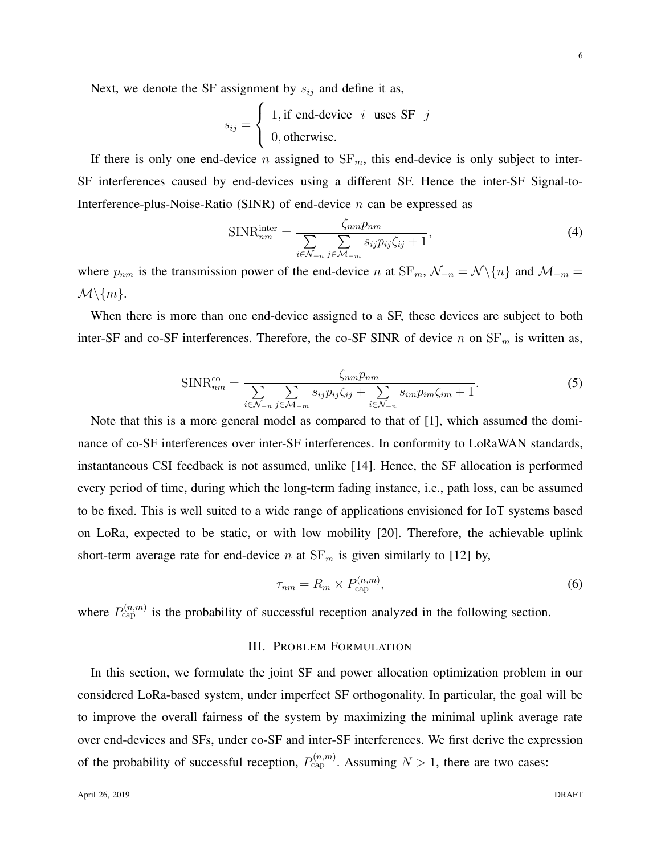Next, we denote the SF assignment by  $s_{ij}$  and define it as,

$$
s_{ij} = \begin{cases} 1, \text{if end-device } i \text{ uses SF } j \\ 0, \text{otherwise.} \end{cases}
$$

If there is only one end-device n assigned to  $SF_m$ , this end-device is only subject to inter-SF interferences caused by end-devices using a different SF. Hence the inter-SF Signal-to-Interference-plus-Noise-Ratio (SINR) of end-device  $n$  can be expressed as

$$
\text{SINR}_{nm}^{\text{inter}} = \frac{\zeta_{nm} p_{nm}}{\sum_{i \in \mathcal{N}_{-n}} \sum_{j \in \mathcal{M}_{-m}} s_{ij} p_{ij} \zeta_{ij} + 1},\tag{4}
$$

where  $p_{nm}$  is the transmission power of the end-device n at  $SF_m$ ,  $\mathcal{N}_{-n} = \mathcal{N} \setminus \{n\}$  and  $\mathcal{M}_{-m} =$  $\mathcal{M}\backslash\{m\}.$ 

When there is more than one end-device assigned to a SF, these devices are subject to both inter-SF and co-SF interferences. Therefore, the co-SF SINR of device n on  $SF<sub>m</sub>$  is written as,

$$
\text{SINR}_{nm}^{\text{co}} = \frac{\zeta_{nm} p_{nm}}{\sum_{i \in \mathcal{N}_{-n}} \sum_{j \in \mathcal{M}_{-m}} s_{ij} p_{ij} \zeta_{ij} + \sum_{i \in \mathcal{N}_{-n}} s_{im} p_{im} \zeta_{im} + 1}.
$$
 (5)

Note that this is a more general model as compared to that of [1], which assumed the dominance of co-SF interferences over inter-SF interferences. In conformity to LoRaWAN standards, instantaneous CSI feedback is not assumed, unlike [14]. Hence, the SF allocation is performed every period of time, during which the long-term fading instance, i.e., path loss, can be assumed to be fixed. This is well suited to a wide range of applications envisioned for IoT systems based on LoRa, expected to be static, or with low mobility [20]. Therefore, the achievable uplink short-term average rate for end-device n at  $SF_m$  is given similarly to [12] by,

$$
\tau_{nm} = R_m \times P_{\text{cap}}^{(n,m)},\tag{6}
$$

where  $P_{\text{cap}}^{(n,m)}$  is the probability of successful reception analyzed in the following section.

### III. PROBLEM FORMULATION

In this section, we formulate the joint SF and power allocation optimization problem in our considered LoRa-based system, under imperfect SF orthogonality. In particular, the goal will be to improve the overall fairness of the system by maximizing the minimal uplink average rate over end-devices and SFs, under co-SF and inter-SF interferences. We first derive the expression of the probability of successful reception,  $P_{\text{cap}}^{(n,m)}$ . Assuming  $N > 1$ , there are two cases: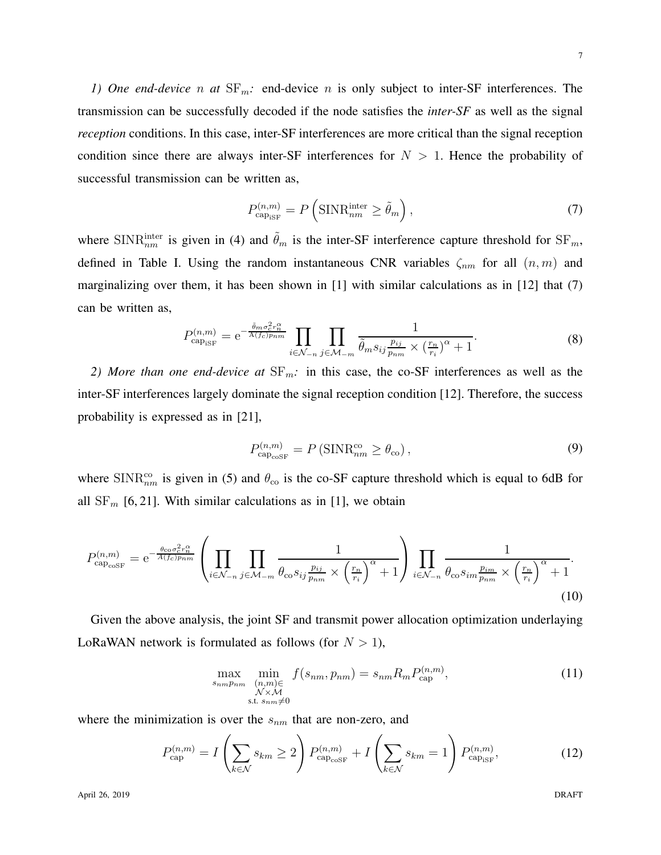*1) One end-device* n at  $SF_m$ : end-device n is only subject to inter-SF interferences. The transmission can be successfully decoded if the node satisfies the *inter-SF* as well as the signal *reception* conditions. In this case, inter-SF interferences are more critical than the signal reception condition since there are always inter-SF interferences for  $N > 1$ . Hence the probability of successful transmission can be written as,

$$
P_{\text{cap}_{\text{ISF}}}^{(n,m)} = P\left(\text{SINR}_{nm}^{\text{inter}} \ge \tilde{\theta}_m\right),\tag{7}
$$

where SINR<sup>ther</sup> is given in (4) and  $\tilde{\theta}_m$  is the inter-SF interference capture threshold for SF<sub>m</sub>, defined in Table I. Using the random instantaneous CNR variables  $\zeta_{nm}$  for all  $(n, m)$  and marginalizing over them, it has been shown in [1] with similar calculations as in [12] that (7) can be written as,

$$
P_{\text{cap}_{\text{ISF}}}^{(n,m)} = e^{-\frac{\tilde{\theta}_m \sigma_c^2 r_m^{\alpha}}{A(f_c)p_{nm}}} \prod_{i \in \mathcal{N}_{-n}} \prod_{j \in \mathcal{M}_{-m}} \frac{1}{\tilde{\theta}_m s_{ij} \frac{p_{ij}}{p_{nm}} \times (\frac{r_n}{r_i})^{\alpha} + 1}.
$$
 (8)

*2) More than one end-device at*  $SF_m$ : in this case, the co-SF interferences as well as the inter-SF interferences largely dominate the signal reception condition [12]. Therefore, the success probability is expressed as in [21],

$$
P_{\text{cap}_{\text{coSF}}}^{(n,m)} = P\left(\text{SINR}_{nm}^{\text{co}} \ge \theta_{\text{co}}\right),\tag{9}
$$

where SINR $_{nm}^{co}$  is given in (5) and  $\theta_{co}$  is the co-SF capture threshold which is equal to 6dB for all  $SF_m$  [6, 21]. With similar calculations as in [1], we obtain

$$
P_{\text{cap}_{\text{coSF}}}^{(n,m)} = e^{-\frac{\theta_{\text{co}}\sigma_{\text{c}}^2 r_n^{\alpha}}{A(f_{\text{c}})p_{nm}}} \left( \prod_{i \in \mathcal{N}_{-n}} \prod_{j \in \mathcal{M}_{-m}} \frac{1}{\theta_{\text{co}} s_{ij} \frac{p_{ij}}{p_{nm}}} \times \left(\frac{r_n}{r_i}\right)^{\alpha} + 1} \right) \prod_{i \in \mathcal{N}_{-n}} \frac{1}{\theta_{\text{co}} s_{im} \frac{p_{im}}{p_{nm}}} \times \left(\frac{r_n}{r_i}\right)^{\alpha} + 1}.
$$
\n(10)

Given the above analysis, the joint SF and transmit power allocation optimization underlaying LoRaWAN network is formulated as follows (for  $N > 1$ ),

$$
\max_{\substack{s_{nm}p_{nm} \ (n,m)\in\\N\times\mathcal{M}\\ \text{s.t. } s_{nm}\neq 0}} f(s_{nm}, p_{nm}) = s_{nm} R_m P_{\text{cap}}^{(n,m)}, \tag{11}
$$

where the minimization is over the  $s_{nm}$  that are non-zero, and

$$
P_{\text{cap}}^{(n,m)} = I\left(\sum_{k \in \mathcal{N}} s_{km} \ge 2\right) P_{\text{cap}_{\text{coSF}}}^{(n,m)} + I\left(\sum_{k \in \mathcal{N}} s_{km} = 1\right) P_{\text{cap}_{\text{ISF}}}^{(n,m)},\tag{12}
$$

7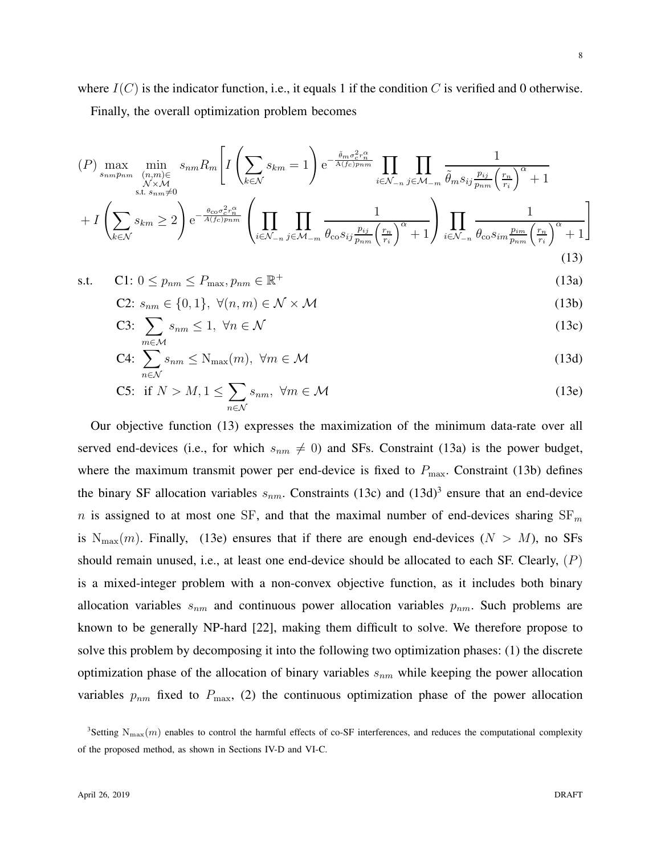where  $I(C)$  is the indicator function, i.e., it equals 1 if the condition C is verified and 0 otherwise. Finally, the overall optimization problem becomes

$$
(P) \max_{\substack{s_{nm}p_{nm} \ (n,m)\in\mathcal{N}\times\mathcal{M} \\ \text{s.t. } s_{nm}\neq 0}} \min_{\substack{(n,m)\in\mathcal{N}\times\mathcal{M} \\ \text{s.t. } s_{nm}\neq 0}} \mathcal{S}_{km} = 1\right) e^{-\frac{\tilde{\theta}_{m}\sigma_c^2 r_n^{\alpha}}{A(f_c)p_{nm}}} \prod_{i\in\mathcal{N}_{-n}} \prod_{j\in\mathcal{M}_{-m}} \frac{1}{\tilde{\theta}_{m} s_{ij} \frac{p_{ij}}{p_{nm}} \left(\frac{r_n}{r_i}\right)^{\alpha} + 1} + I\left(\sum_{k\in\mathcal{N}} s_{km} \geq 2\right) e^{-\frac{\theta_{\text{co}}\sigma_c^2 r_n^{\alpha}}{A(f_c)p_{nm}}} \left(\prod_{i\in\mathcal{N}_{-n}} \prod_{j\in\mathcal{M}_{-m}} \frac{1}{\theta_{\text{co}} s_{ij} \frac{p_{ij}}{p_{nm}} \left(\frac{r_n}{r_i}\right)^{\alpha} + 1}\right) \prod_{i\in\mathcal{N}_{-n}} \frac{1}{\theta_{\text{co}} s_{im} \frac{p_{im}}{p_{nm}} \left(\frac{r_n}{r_i}\right)^{\alpha} + 1}
$$
\n
$$
(13)
$$

$$
\text{s.t.} \qquad \mathbf{C1:} \ 0 \le p_{nm} \le P_{\max}, p_{nm} \in \mathbb{R}^+\tag{13a}
$$

$$
\text{C2: } s_{nm} \in \{0, 1\}, \ \forall (n, m) \in \mathcal{N} \times \mathcal{M} \tag{13b}
$$

C3: 
$$
\sum_{m \in \mathcal{M}} s_{nm} \leq 1, \ \forall n \in \mathcal{N}
$$
 (13c)

$$
C4: \sum_{n \in \mathcal{N}} s_{nm} \le N_{\max}(m), \ \forall m \in \mathcal{M}
$$
 (13d)

C5: if 
$$
N > M, 1 \le \sum_{n \in \mathcal{N}} s_{nm}, \ \forall m \in \mathcal{M}
$$
 (13e)

Our objective function (13) expresses the maximization of the minimum data-rate over all served end-devices (i.e., for which  $s_{nm} \neq 0$ ) and SFs. Constraint (13a) is the power budget, where the maximum transmit power per end-device is fixed to  $P_{\text{max}}$ . Constraint (13b) defines the binary SF allocation variables  $s_{nm}$ . Constraints (13c) and (13d)<sup>3</sup> ensure that an end-device n is assigned to at most one SF, and that the maximal number of end-devices sharing  $SF_m$ is  $N_{\text{max}}(m)$ . Finally, (13e) ensures that if there are enough end-devices ( $N > M$ ), no SFs should remain unused, i.e., at least one end-device should be allocated to each SF. Clearly,  $(P)$ is a mixed-integer problem with a non-convex objective function, as it includes both binary allocation variables  $s_{nm}$  and continuous power allocation variables  $p_{nm}$ . Such problems are known to be generally NP-hard [22], making them difficult to solve. We therefore propose to solve this problem by decomposing it into the following two optimization phases: (1) the discrete optimization phase of the allocation of binary variables  $s_{nm}$  while keeping the power allocation variables  $p_{nm}$  fixed to  $P_{\text{max}}$ , (2) the continuous optimization phase of the power allocation

<sup>&</sup>lt;sup>3</sup>Setting  $N_{\text{max}}(m)$  enables to control the harmful effects of co-SF interferences, and reduces the computational complexity of the proposed method, as shown in Sections IV-D and VI-C.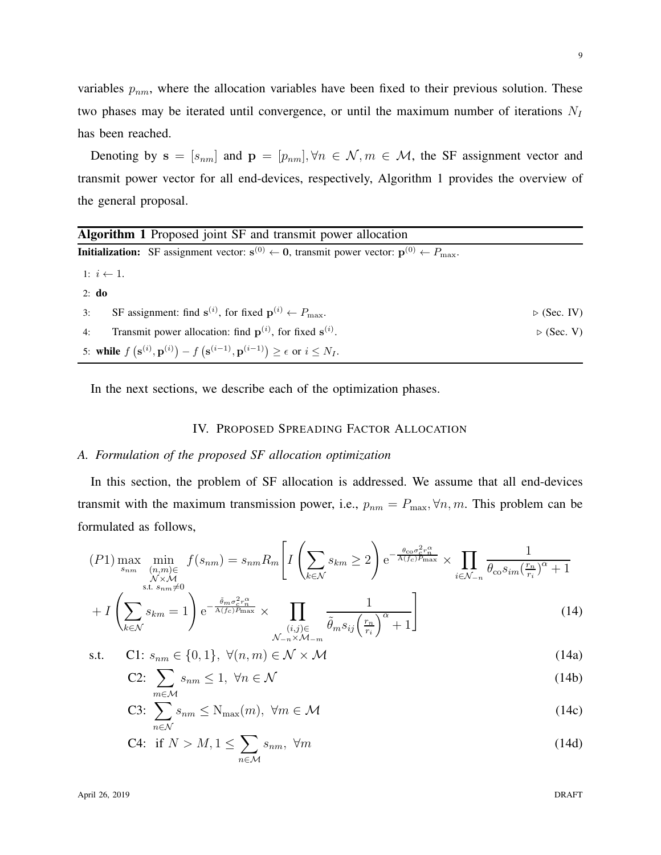variables  $p_{nm}$ , where the allocation variables have been fixed to their previous solution. These two phases may be iterated until convergence, or until the maximum number of iterations  $N_I$ has been reached.

Denoting by  $\mathbf{s} = [s_{nm}]$  and  $\mathbf{p} = [p_{nm}], \forall n \in \mathcal{N}, m \in \mathcal{M}$ , the SF assignment vector and transmit power vector for all end-devices, respectively, Algorithm 1 provides the overview of the general proposal.

| <b>Algorithm 1</b> Proposed joint SF and transmit power allocation                                                                                   |                            |  |  |
|------------------------------------------------------------------------------------------------------------------------------------------------------|----------------------------|--|--|
| <b>Initialization:</b> SF assignment vector: $\mathbf{s}^{(0)} \leftarrow 0$ , transmit power vector: $\mathbf{p}^{(0)} \leftarrow P_{\text{max}}$ . |                            |  |  |
| 1: $i \leftarrow 1$ .                                                                                                                                |                            |  |  |
| $2: d\mathbf{0}$                                                                                                                                     |                            |  |  |
| SF assignment: find $\mathbf{s}^{(i)}$ , for fixed $\mathbf{p}^{(i)} \leftarrow P_{\text{max}}$ .<br>3:                                              | $\triangleright$ (Sec. IV) |  |  |
| Transmit power allocation: find $p^{(i)}$ , for fixed $s^{(i)}$ .<br>4:                                                                              | $\triangleright$ (Sec. V)  |  |  |
| 5: while $f(\mathbf{s}^{(i)}, \mathbf{p}^{(i)}) - f(\mathbf{s}^{(i-1)}, \mathbf{p}^{(i-1)}) \ge \epsilon$ or $i \le N_I$ .                           |                            |  |  |

In the next sections, we describe each of the optimization phases.

## IV. PROPOSED SPREADING FACTOR ALLOCATION

#### *A. Formulation of the proposed SF allocation optimization*

In this section, the problem of SF allocation is addressed. We assume that all end-devices transmit with the maximum transmission power, i.e.,  $p_{nm} = P_{\text{max}}$ ,  $\forall n, m$ . This problem can be formulated as follows,

$$
(P1)\max_{s_{nm}}\min_{\substack{(n,m)\in\atop N\times\mathcal{M}\\ \text{s.t. } s_{nm}\neq 0}}f(s_{nm})=s_{nm}R_m\left[I\left(\sum_{k\in\mathcal{N}}s_{km}\geq 2\right)e^{-\frac{\theta_{\text{co}}\sigma_c^2r_n^{\alpha}}{A(f_c)P_{\text{max}}}}\times\prod_{i\in\mathcal{N}_{-n}}\frac{1}{\theta_{\text{co}}s_{im}(\frac{r_n}{r_i})^{\alpha}+1}\right]\n+I\left(\sum_{k\in\mathcal{N}}s_{km}=1\right)e^{-\frac{\tilde{\theta}_{m}\sigma_c^2r_n^{\alpha}}{A(f_c)P_{\text{max}}}}\times\prod_{(i,j)\in\tilde{\theta}_{m}s_{ij}(\frac{r_n}{r_i})^{\alpha}+1}\right]
$$
\n(14)

$$
\begin{array}{ccc}\n\text{(i,j)} & \text{(ii,j)} & \text{(iii)} \\
\text{(iv)} & \text{(v)} & \text{(v)} \\
\text{s.t.} & \text{C1: } s_{nm} \in \{0, 1\}, \ \forall (n, m) \in \mathcal{N} \times \mathcal{M}\n\end{array} \tag{14a}
$$

$$
\text{C2: } \sum_{m \in M} s_{nm} \le 1, \ \forall n \in \mathcal{N} \tag{14b}
$$

C3: 
$$
\sum_{n \in \mathcal{N}} s_{nm} \le N_{\max}(m), \ \forall m \in \mathcal{M}
$$
 (14c)

C4: if 
$$
N > M, 1 \le \sum_{n \in \mathcal{M}} s_{nm}, \ \forall m
$$
 (14d)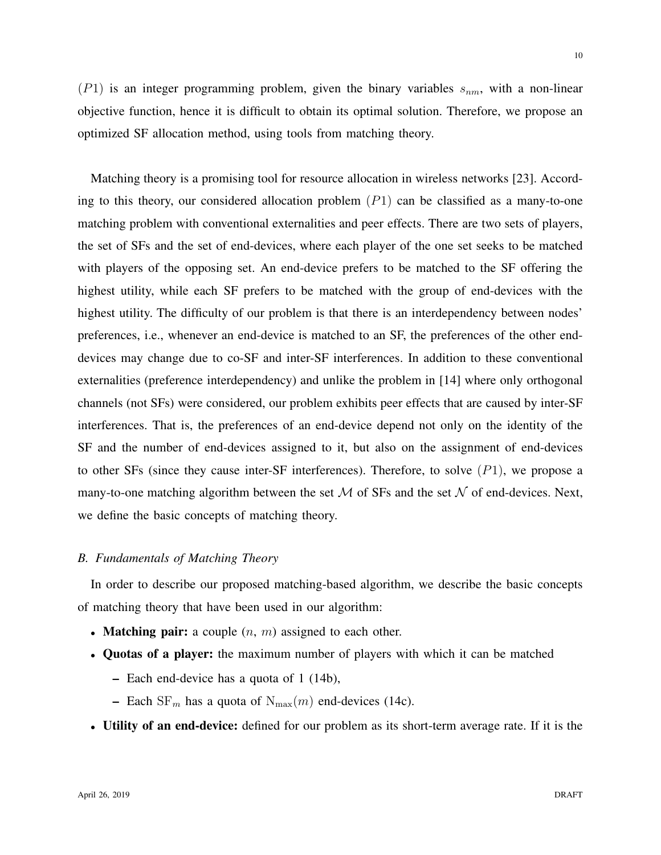$(P1)$  is an integer programming problem, given the binary variables  $s_{nm}$ , with a non-linear objective function, hence it is difficult to obtain its optimal solution. Therefore, we propose an optimized SF allocation method, using tools from matching theory.

Matching theory is a promising tool for resource allocation in wireless networks [23]. According to this theory, our considered allocation problem  $(P1)$  can be classified as a many-to-one matching problem with conventional externalities and peer effects. There are two sets of players, the set of SFs and the set of end-devices, where each player of the one set seeks to be matched with players of the opposing set. An end-device prefers to be matched to the SF offering the highest utility, while each SF prefers to be matched with the group of end-devices with the highest utility. The difficulty of our problem is that there is an interdependency between nodes' preferences, i.e., whenever an end-device is matched to an SF, the preferences of the other enddevices may change due to co-SF and inter-SF interferences. In addition to these conventional externalities (preference interdependency) and unlike the problem in [14] where only orthogonal channels (not SFs) were considered, our problem exhibits peer effects that are caused by inter-SF interferences. That is, the preferences of an end-device depend not only on the identity of the SF and the number of end-devices assigned to it, but also on the assignment of end-devices to other SFs (since they cause inter-SF interferences). Therefore, to solve  $(P1)$ , we propose a many-to-one matching algorithm between the set  $M$  of SFs and the set  $N$  of end-devices. Next, we define the basic concepts of matching theory.

## *B. Fundamentals of Matching Theory*

In order to describe our proposed matching-based algorithm, we describe the basic concepts of matching theory that have been used in our algorithm:

- Matching pair: a couple  $(n, m)$  assigned to each other.
- Quotas of a player: the maximum number of players with which it can be matched
	- Each end-device has a quota of 1 (14b),
	- Each  $SF_m$  has a quota of  $N_{max}(m)$  end-devices (14c).
- Utility of an end-device: defined for our problem as its short-term average rate. If it is the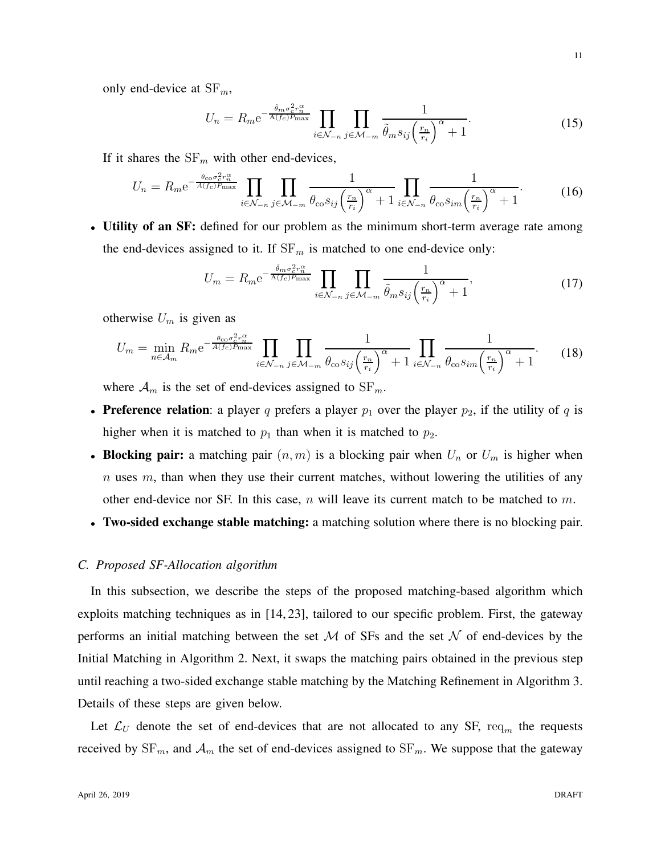only end-device at  $SF_m$ ,

$$
U_n = R_m e^{-\frac{\tilde{\theta}_m \sigma_c^2 r_n^{\alpha}}{A(f_c)P_{\text{max}}}} \prod_{i \in \mathcal{N}_{-n}} \prod_{j \in \mathcal{M}_{-m}} \frac{1}{\tilde{\theta}_m s_{ij} \left(\frac{r_n}{r_i}\right)^{\alpha} + 1}.
$$
 (15)

If it shares the  $SF_m$  with other end-devices,

$$
U_n = R_m e^{-\frac{\theta_{\rm co} \sigma_c^2 r_n^{\alpha}}{A(f_c) P_{\rm max}}} \prod_{i \in \mathcal{N}_{-n}} \prod_{j \in \mathcal{M}_{-m}} \frac{1}{\theta_{\rm co} s_{ij} \left(\frac{r_n}{r_i}\right)^{\alpha} + 1} \prod_{i \in \mathcal{N}_{-n}} \frac{1}{\theta_{\rm co} s_{im} \left(\frac{r_n}{r_i}\right)^{\alpha} + 1}.
$$
 (16)

• Utility of an SF: defined for our problem as the minimum short-term average rate among the end-devices assigned to it. If  $SF_m$  is matched to one end-device only:

$$
U_m = R_m e^{-\frac{\tilde{\theta}_m \sigma_c^2 r_m^{\alpha}}{A(f_c)P_{\text{max}}}} \prod_{i \in \mathcal{N}_{-n}} \prod_{j \in \mathcal{M}_{-m}} \frac{1}{\tilde{\theta}_m s_{ij} \left(\frac{r_n}{r_i}\right)^{\alpha} + 1},\tag{17}
$$

otherwise  $U_m$  is given as

$$
U_m = \min_{n \in \mathcal{A}_m} R_m e^{-\frac{\theta_{\rm co} \sigma_c^2 r_n^{\alpha}}{A(f_c) P_{\rm max}}} \prod_{i \in \mathcal{N}_{-n}} \prod_{j \in \mathcal{M}_{-m}} \frac{1}{\theta_{\rm co} s_{ij} \left(\frac{r_n}{r_i}\right)^{\alpha} + 1} \prod_{i \in \mathcal{N}_{-n}} \frac{1}{\theta_{\rm co} s_{im} \left(\frac{r_n}{r_i}\right)^{\alpha} + 1}.
$$
 (18)

where  $A_m$  is the set of end-devices assigned to  $SF_m$ .

- Preference relation: a player q prefers a player  $p_1$  over the player  $p_2$ , if the utility of q is higher when it is matched to  $p_1$  than when it is matched to  $p_2$ .
- Blocking pair: a matching pair  $(n, m)$  is a blocking pair when  $U_n$  or  $U_m$  is higher when  $n$  uses  $m$ , than when they use their current matches, without lowering the utilities of any other end-device nor SF. In this case,  $n$  will leave its current match to be matched to  $m$ .
- Two-sided exchange stable matching: a matching solution where there is no blocking pair.

## *C. Proposed SF-Allocation algorithm*

In this subsection, we describe the steps of the proposed matching-based algorithm which exploits matching techniques as in [14, 23], tailored to our specific problem. First, the gateway performs an initial matching between the set  $M$  of SFs and the set  $N$  of end-devices by the Initial Matching in Algorithm 2. Next, it swaps the matching pairs obtained in the previous step until reaching a two-sided exchange stable matching by the Matching Refinement in Algorithm 3. Details of these steps are given below.

Let  $\mathcal{L}_U$  denote the set of end-devices that are not allocated to any SF, req<sub>m</sub> the requests received by  $SF_m$ , and  $\mathcal{A}_m$  the set of end-devices assigned to  $SF_m$ . We suppose that the gateway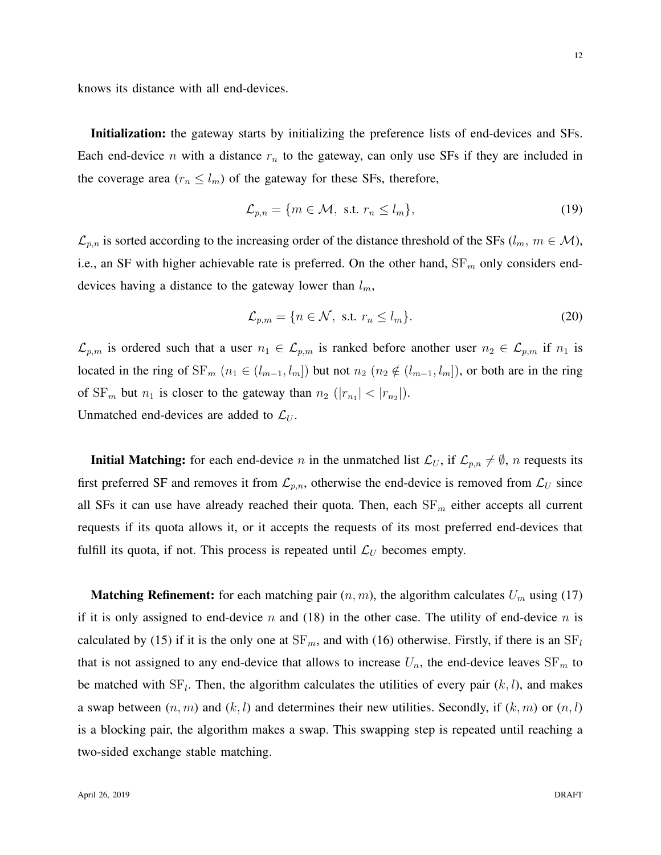knows its distance with all end-devices.

Initialization: the gateway starts by initializing the preference lists of end-devices and SFs. Each end-device n with a distance  $r_n$  to the gateway, can only use SFs if they are included in the coverage area ( $r_n \leq l_m$ ) of the gateway for these SFs, therefore,

$$
\mathcal{L}_{p,n} = \{ m \in \mathcal{M}, \text{ s.t. } r_n \le l_m \},\tag{19}
$$

 $\mathcal{L}_{p,n}$  is sorted according to the increasing order of the distance threshold of the SFs ( $l_m$ ,  $m \in \mathcal{M}$ ), i.e., an SF with higher achievable rate is preferred. On the other hand,  $SF<sub>m</sub>$  only considers enddevices having a distance to the gateway lower than  $l_m$ ,

$$
\mathcal{L}_{p,m} = \{ n \in \mathcal{N}, \text{ s.t. } r_n \le l_m \}. \tag{20}
$$

 $\mathcal{L}_{p,m}$  is ordered such that a user  $n_1 \in \mathcal{L}_{p,m}$  is ranked before another user  $n_2 \in \mathcal{L}_{p,m}$  if  $n_1$  is located in the ring of  $SF_m$   $(n_1 \in (l_{m-1}, l_m])$  but not  $n_2$   $(n_2 \notin (l_{m-1}, l_m])$ , or both are in the ring of  $SF_m$  but  $n_1$  is closer to the gateway than  $n_2$  ( $|r_{n_1}| < |r_{n_2}|$ ). Unmatched end-devices are added to  $\mathcal{L}_U$ .

**Initial Matching:** for each end-device n in the unmatched list  $\mathcal{L}_U$ , if  $\mathcal{L}_{p,n} \neq \emptyset$ , n requests its first preferred SF and removes it from  $\mathcal{L}_{p,n}$ , otherwise the end-device is removed from  $\mathcal{L}_U$  since all SFs it can use have already reached their quota. Then, each  $SF_m$  either accepts all current requests if its quota allows it, or it accepts the requests of its most preferred end-devices that fulfill its quota, if not. This process is repeated until  $\mathcal{L}_U$  becomes empty.

**Matching Refinement:** for each matching pair  $(n, m)$ , the algorithm calculates  $U_m$  using (17) if it is only assigned to end-device n and (18) in the other case. The utility of end-device n is calculated by (15) if it is the only one at  $SF_m$ , and with (16) otherwise. Firstly, if there is an  $SF_l$ that is not assigned to any end-device that allows to increase  $U_n$ , the end-device leaves  $SF_m$  to be matched with  $SF_l$ . Then, the algorithm calculates the utilities of every pair  $(k, l)$ , and makes a swap between  $(n, m)$  and  $(k, l)$  and determines their new utilities. Secondly, if  $(k, m)$  or  $(n, l)$ is a blocking pair, the algorithm makes a swap. This swapping step is repeated until reaching a two-sided exchange stable matching.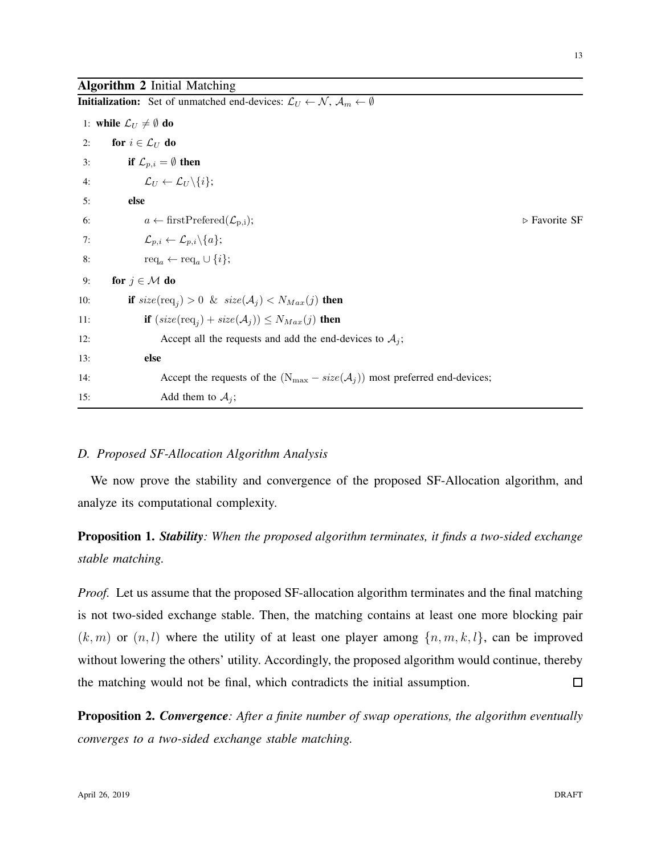## Algorithm 2 Initial Matching

|     | <b>Initialization:</b> Set of unmatched end-devices: $\mathcal{L}_U \leftarrow \mathcal{N}, \mathcal{A}_m \leftarrow \emptyset$ |                              |
|-----|---------------------------------------------------------------------------------------------------------------------------------|------------------------------|
|     | 1: while $\mathcal{L}_U \neq \emptyset$ do                                                                                      |                              |
| 2:  | for $i \in \mathcal{L}_U$ do                                                                                                    |                              |
| 3:  | if $\mathcal{L}_{p,i} = \emptyset$ then                                                                                         |                              |
| 4:  | $\mathcal{L}_U \leftarrow \mathcal{L}_U \backslash \{i\};$                                                                      |                              |
| 5:  | else                                                                                                                            |                              |
| 6:  | $a \leftarrow \text{firstPrefered}(\mathcal{L}_{p,i});$                                                                         | $\triangleright$ Favorite SF |
| 7:  | $\mathcal{L}_{p,i} \leftarrow \mathcal{L}_{p,i} \backslash \{a\};$                                                              |                              |
| 8:  | $\text{req}_a \leftarrow \text{req}_a \cup \{i\};$                                                                              |                              |
| 9:  | for $j \in \mathcal{M}$ do                                                                                                      |                              |
| 10: | if $size(\text{req}_i) > 0$ & $size(\mathcal{A}_j) < N_{Max}(j)$ then                                                           |                              |
| 11: | if $(size(\text{req}_j) + size(\mathcal{A}_j)) \leq N_{Max}(j)$ then                                                            |                              |
| 12: | Accept all the requests and add the end-devices to $A_j$ ;                                                                      |                              |
| 13: | else                                                                                                                            |                              |
| 14: | Accept the requests of the $(N_{\text{max}} - size(A_j))$ most preferred end-devices;                                           |                              |
| 15: | Add them to $A_j$ ;                                                                                                             |                              |

## *D. Proposed SF-Allocation Algorithm Analysis*

We now prove the stability and convergence of the proposed SF-Allocation algorithm, and analyze its computational complexity.

Proposition 1. *Stability: When the proposed algorithm terminates, it finds a two-sided exchange stable matching.*

*Proof.* Let us assume that the proposed SF-allocation algorithm terminates and the final matching is not two-sided exchange stable. Then, the matching contains at least one more blocking pair  $(k, m)$  or  $(n, l)$  where the utility of at least one player among  $\{n, m, k, l\}$ , can be improved without lowering the others' utility. Accordingly, the proposed algorithm would continue, thereby the matching would not be final, which contradicts the initial assumption.  $\Box$ 

Proposition 2. *Convergence: After a finite number of swap operations, the algorithm eventually converges to a two-sided exchange stable matching.*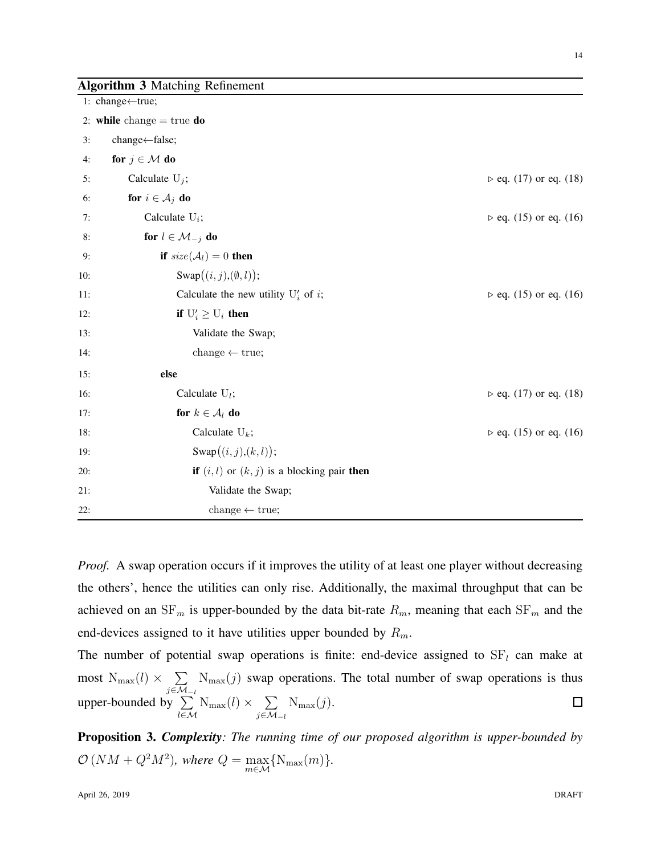|  |  |  | <b>Algorithm 3 Matching Refinement</b> |
|--|--|--|----------------------------------------|
|--|--|--|----------------------------------------|

|     | 1: change←true;                                               |                             |
|-----|---------------------------------------------------------------|-----------------------------|
|     | 2: while change $=$ true do                                   |                             |
| 3:  | change←false;                                                 |                             |
| 4:  | for $j \in \mathcal{M}$ do                                    |                             |
| 5:  | Calculate $U_j$ ;                                             | $\rhd$ eq. (17) or eq. (18) |
| 6:  | for $i \in A_j$ do                                            |                             |
| 7:  | Calculate $U_i$ ;                                             | $\rhd$ eq. (15) or eq. (16) |
| 8:  | for $l \in \mathcal{M}_{-j}$ do                               |                             |
| 9:  | if $size(\mathcal{A}_l)=0$ then                               |                             |
| 10: | $\text{Swap}((i, j), (\emptyset, l));$                        |                             |
| 11: | Calculate the new utility $U'_i$ of i;                        | $\rhd$ eq. (15) or eq. (16) |
| 12: | if $U'_i \geq U_i$ then                                       |                             |
| 13: | Validate the Swap;                                            |                             |
| 14: | change $\leftarrow$ true;                                     |                             |
| 15: | else                                                          |                             |
| 16: | Calculate $U_l$ ;                                             | $\rhd$ eq. (17) or eq. (18) |
| 17: | for $k \in \mathcal{A}_l$ do                                  |                             |
| 18: | Calculate $U_k$ ;                                             | $\rhd$ eq. (15) or eq. (16) |
| 19: | Swap $((i, j), (k, l));$                                      |                             |
| 20: | <b>if</b> $(i, l)$ or $(k, j)$ is a blocking pair <b>then</b> |                             |
| 21: | Validate the Swap;                                            |                             |
| 22: | change $\leftarrow$ true;                                     |                             |

*Proof.* A swap operation occurs if it improves the utility of at least one player without decreasing the others', hence the utilities can only rise. Additionally, the maximal throughput that can be achieved on an  $SF_m$  is upper-bounded by the data bit-rate  $R_m$ , meaning that each  $SF_m$  and the end-devices assigned to it have utilities upper bounded by  $R_m$ .

The number of potential swap operations is finite: end-device assigned to  $SF<sub>l</sub>$  can make at most  $N_{\max}(l) \times$   $\sum$ j∈ $\mathcal{M}_{-l}$  $N_{\text{max}}(j)$  swap operations. The total number of swap operations is thus upper-bounded by  $\Sigma$ l∈M  $N_{\max}(l) \times \sum$ j∈ $\mathcal{M}_{-l}$  $N_{\max}(j).$ 

Proposition 3. *Complexity: The running time of our proposed algorithm is upper-bounded by*  $\mathcal{O}(NM + Q^2M^2)$ , where  $Q = \max_{m \in \mathcal{M}} \{N_{\max}(m)\}.$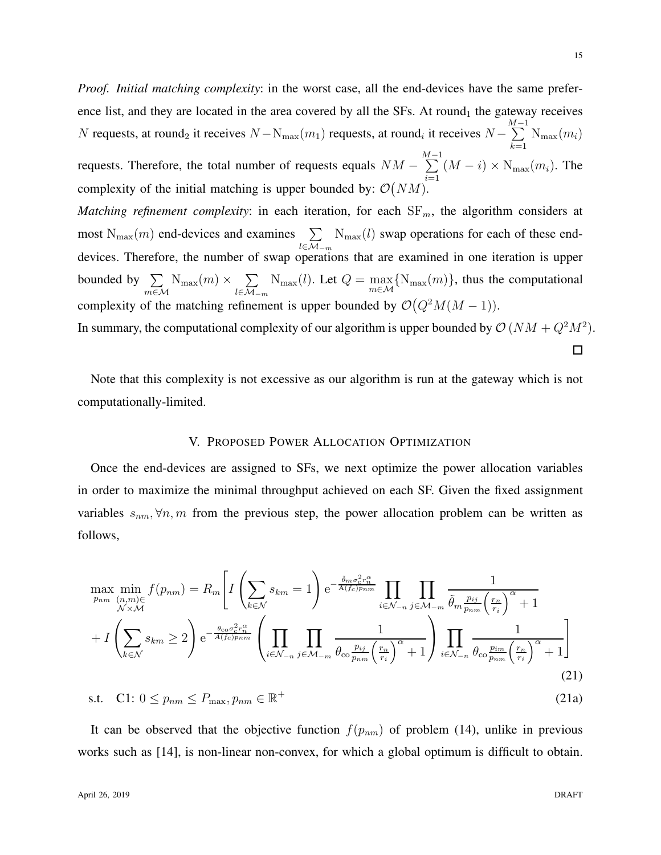*Proof. Initial matching complexity*: in the worst case, all the end-devices have the same preference list, and they are located in the area covered by all the SFs. At round<sub>1</sub> the gateway receives N requests, at round<sub>2</sub> it receives  $N - N_{\text{max}}(m_1)$  requests, at round<sub>i</sub> it receives  $N \sum^{M-1}{\rm N_{max}(}m_i)$  $_{k=1}$ 

requests. Therefore, the total number of requests equals  $NM \sum^{M-1}$  $i=1$  $(M - i) \times N_{\text{max}}(m_i)$ . The complexity of the initial matching is upper bounded by:  $\mathcal{O}(NM)$ .

*Matching refinement complexity*: in each iteration, for each  $SF<sub>m</sub>$ , the algorithm considers at most  $N_{\text{max}}(m)$  end-devices and examines  $\sum$ l∈ $\mathcal{M}_{-m}$  $N_{\text{max}}(l)$  swap operations for each of these enddevices. Therefore, the number of swap operations that are examined in one iteration is upper bounded by  $\sum$ m∈M  $N_{\max}(m) \times \sum$ l∈ $\mathcal{M}_{-m}$  $N_{\text{max}}(l)$ . Let  $Q = \max_{m \in \mathcal{M}} \{N_{\text{max}}(m)\}\$ , thus the computational complexity of the matching refinement is upper bounded by  $\mathcal{O}(Q^2M(M-1)).$ 

In summary, the computational complexity of our algorithm is upper bounded by  $\mathcal{O}(NM + Q^2M^2)$ .

 $\Box$ 

Note that this complexity is not excessive as our algorithm is run at the gateway which is not computationally-limited.

## V. PROPOSED POWER ALLOCATION OPTIMIZATION

Once the end-devices are assigned to SFs, we next optimize the power allocation variables in order to maximize the minimal throughput achieved on each SF. Given the fixed assignment variables  $s_{nm}$ ,  $\forall n,m$  from the previous step, the power allocation problem can be written as follows,

$$
\max_{p_{nm}} \min_{(n,m)\in\mathcal{F}} f(p_{nm}) = R_m \left[ I \left( \sum_{k \in \mathcal{N}} s_{km} = 1 \right) e^{-\frac{\tilde{\theta}_m \sigma_c^2 r_m^{\alpha}}{A(f_c)p_{nm}}} \prod_{i \in \mathcal{N}_{-n}} \prod_{j \in \mathcal{M}_{-m}} \frac{1}{\tilde{\theta}_m \frac{p_{ij}}{p_{nm}} \left( r_i \right)^{\alpha} + 1} + I \left( \sum_{k \in \mathcal{N}} s_{km} \ge 2 \right) e^{-\frac{\theta_{c0} \sigma_c^2 r_m^{\alpha}}{A(f_c)p_{nm}}} \left( \prod_{i \in \mathcal{N}_{-n}} \prod_{j \in \mathcal{M}_{-m}} \frac{1}{\theta_{c0} \frac{p_{ij}}{p_{nm}} \left( r_i \right)^{\alpha} + 1} \right) \prod_{i \in \mathcal{N}_{-n}} \frac{1}{\theta_{c0} \frac{p_{im}}{p_{nm}} \left( r_i \right)^{\alpha} + 1} \right]
$$
\n
$$
\text{s.t.} \quad \text{C1: } 0 \le p_{nm} \le P_{\text{max}}, p_{nm} \in \mathbb{R}^+ \tag{21a}
$$

It can be observed that the objective function  $f(p_{nm})$  of problem (14), unlike in previous works such as [14], is non-linear non-convex, for which a global optimum is difficult to obtain.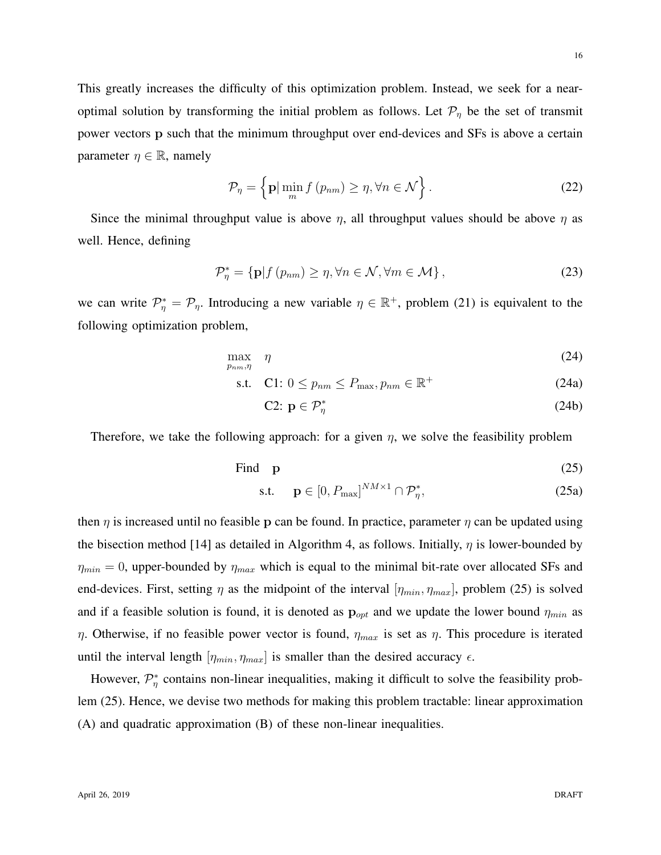This greatly increases the difficulty of this optimization problem. Instead, we seek for a nearoptimal solution by transforming the initial problem as follows. Let  $\mathcal{P}_{\eta}$  be the set of transmit power vectors p such that the minimum throughput over end-devices and SFs is above a certain parameter  $\eta \in \mathbb{R}$ , namely

$$
\mathcal{P}_{\eta} = \left\{ \mathbf{p} \vert \min_{m} f \left( p_{nm} \right) \ge \eta, \forall n \in \mathcal{N} \right\}.
$$
 (22)

Since the minimal throughput value is above  $\eta$ , all throughput values should be above  $\eta$  as well. Hence, defining

$$
\mathcal{P}_{\eta}^* = \{ \mathbf{p} | f (p_{nm}) \ge \eta, \forall n \in \mathcal{N}, \forall m \in \mathcal{M} \},\tag{23}
$$

we can write  $\mathcal{P}_\eta^* = \mathcal{P}_\eta$ . Introducing a new variable  $\eta \in \mathbb{R}^+$ , problem (21) is equivalent to the following optimization problem,

$$
\max_{p_{nm},\eta} \quad \eta \tag{24}
$$

$$
\text{s.t.} \quad \text{C1: } 0 \le p_{nm} \le P_{\text{max}}, p_{nm} \in \mathbb{R}^+ \tag{24a}
$$

$$
C2: \mathbf{p} \in \mathcal{P}_\eta^* \tag{24b}
$$

Therefore, we take the following approach: for a given  $\eta$ , we solve the feasibility problem

Find **p** 
$$
(25)
$$

$$
\text{s.t.} \quad \mathbf{p} \in [0, P_{\text{max}}]^{NM \times 1} \cap \mathcal{P}_\eta^*, \tag{25a}
$$

then  $\eta$  is increased until no feasible p can be found. In practice, parameter  $\eta$  can be updated using the bisection method [14] as detailed in Algorithm 4, as follows. Initially,  $\eta$  is lower-bounded by  $\eta_{min} = 0$ , upper-bounded by  $\eta_{max}$  which is equal to the minimal bit-rate over allocated SFs and end-devices. First, setting  $\eta$  as the midpoint of the interval  $[\eta_{min}, \eta_{max}]$ , problem (25) is solved and if a feasible solution is found, it is denoted as  $\mathbf{p}_{opt}$  and we update the lower bound  $\eta_{min}$  as η. Otherwise, if no feasible power vector is found,  $\eta_{max}$  is set as  $\eta$ . This procedure is iterated until the interval length  $[\eta_{min}, \eta_{max}]$  is smaller than the desired accuracy  $\epsilon$ .

However,  $\mathcal{P}_{\eta}^*$  contains non-linear inequalities, making it difficult to solve the feasibility problem (25). Hence, we devise two methods for making this problem tractable: linear approximation (A) and quadratic approximation (B) of these non-linear inequalities.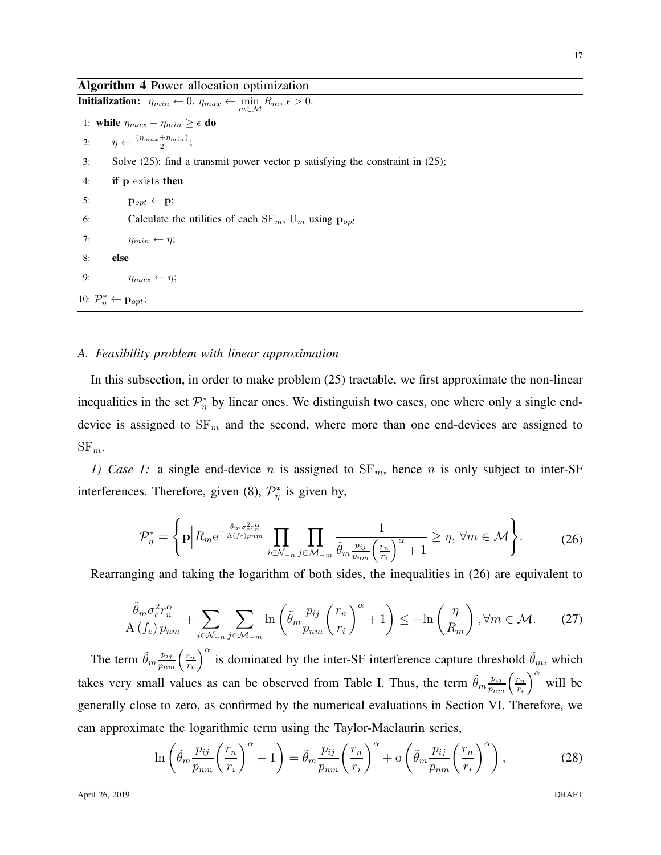## Algorithm 4 Power allocation optimization

**Initialization:**  $\eta_{min} \leftarrow 0$ ,  $\eta_{max} \leftarrow \min_{m \in \mathcal{M}} R_m$ ,  $\epsilon > 0$ . 1: while  $\eta_{max} - \eta_{min} \geq \epsilon$  do 2:  $\eta \leftarrow \frac{(\eta_{max} + \eta_{min})}{2};$ 3: Solve (25): find a transmit power vector p satisfying the constraint in (25); 4: if p exists then 5:  $\mathbf{p}_{opt} \leftarrow \mathbf{p};$ 6: Calculate the utilities of each  $SF_m$ ,  $U_m$  using  $\mathbf{p}_{opt}$ 7:  $\eta_{min} \leftarrow \eta;$ 8: else 9:  $\eta_{max} \leftarrow \eta;$ 10:  $\mathcal{P}_{\eta}^* \leftarrow \mathbf{p}_{opt};$ 

#### *A. Feasibility problem with linear approximation*

In this subsection, in order to make problem (25) tractable, we first approximate the non-linear inequalities in the set  $\mathcal{P}_{\eta}^*$  by linear ones. We distinguish two cases, one where only a single enddevice is assigned to  $SF_m$  and the second, where more than one end-devices are assigned to  $SF_m$ .

*1) Case 1:* a single end-device n is assigned to  $SF_m$ , hence n is only subject to inter-SF interferences. Therefore, given (8),  $\mathcal{P}_{\eta}^{*}$  is given by,

$$
\mathcal{P}_{\eta}^{*} = \left\{ \mathbf{p} \middle| R_{m} e^{-\frac{\tilde{\theta}_{m} \sigma_{c}^{2} r_{n}^{\alpha}}{A(f_{c}) p_{nm}}} \prod_{i \in \mathcal{N}_{-n}} \prod_{j \in \mathcal{M}_{-m}} \frac{1}{\tilde{\theta}_{m} \frac{p_{ij}}{p_{nm}} \left(\frac{r_{n}}{r_{i}}\right)^{\alpha} + 1} \geq \eta, \ \forall m \in \mathcal{M} \right\}.
$$
 (26)

Rearranging and taking the logarithm of both sides, the inequalities in (26) are equivalent to

$$
\frac{\tilde{\theta}_m \sigma_c^2 r_n^{\alpha}}{A\left(f_c\right) p_{nm}} + \sum_{i \in \mathcal{N}_{-n}} \sum_{j \in \mathcal{M}_{-m}} \ln \left( \tilde{\theta}_m \frac{p_{ij}}{p_{nm}} \left(\frac{r_n}{r_i}\right)^{\alpha} + 1 \right) \le -\ln \left(\frac{\eta}{R_m}\right), \forall m \in \mathcal{M}.\tag{27}
$$

The term  $\tilde{\theta}_m \frac{p_{ij}}{p_{nm}} \left( \frac{r_n}{r_i} \right)$ ri  $\int_0^\alpha$  is dominated by the inter-SF interference capture threshold  $\tilde{\theta}_m$ , which takes very small values as can be observed from Table I. Thus, the term  $\tilde{\theta}_m \frac{p_{ij}}{p_{nm}} \left( \frac{r_n}{r_i} \right)$ ri  $\int_0^\alpha$  will be generally close to zero, as confirmed by the numerical evaluations in Section VI. Therefore, we can approximate the logarithmic term using the Taylor-Maclaurin series,

$$
\ln\left(\tilde{\theta}_m \frac{p_{ij}}{p_{nm}} \left(\frac{r_n}{r_i}\right)^{\alpha} + 1\right) = \tilde{\theta}_m \frac{p_{ij}}{p_{nm}} \left(\frac{r_n}{r_i}\right)^{\alpha} + \mathcal{O}\left(\tilde{\theta}_m \frac{p_{ij}}{p_{nm}} \left(\frac{r_n}{r_i}\right)^{\alpha}\right),\tag{28}
$$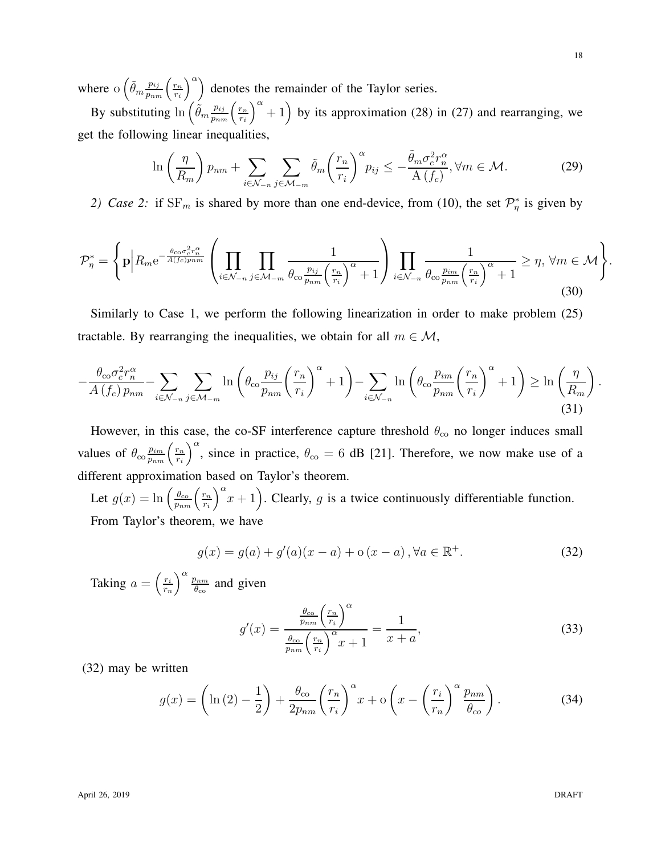where  $\int_{0}^{\infty} \left( \frac{p_{ij}}{p_{nm}} \right) \left( \frac{r_n}{r_i} \right)$ ri  $\binom{\alpha}{k}$  denotes the remainder of the Taylor series.

By substituting  $\ln\left(\tilde{\theta}_m \frac{p_{ij}}{p_{nm}}\right)\left(\frac{r_n}{r_i}\right)$ ri  $\binom{\alpha}{+1}$  by its approximation (28) in (27) and rearranging, we get the following linear inequalities,

$$
\ln\left(\frac{\eta}{R_m}\right)p_{nm} + \sum_{i\in\mathcal{N}_{-n}}\sum_{j\in\mathcal{M}_{-m}}\tilde{\theta}_m\left(\frac{r_n}{r_i}\right)^{\alpha}p_{ij} \le -\frac{\tilde{\theta}_m\sigma_c^2r_n^{\alpha}}{\mathcal{A}\left(f_c\right)}, \forall m \in \mathcal{M}.\tag{29}
$$

2) Case 2: if  $SF_m$  is shared by more than one end-device, from (10), the set  $\mathcal{P}_\eta^*$  is given by

$$
\mathcal{P}_{\eta}^{*} = \left\{ \mathbf{p} \middle| R_{m} e^{-\frac{\theta_{\rm co} \sigma_{\rm c}^{2} r_{n}^{\alpha}}{A(f_{\rm c}) p_{nm}}} \left( \prod_{i \in \mathcal{N}_{-n}} \prod_{j \in \mathcal{M}_{-m}} \frac{1}{\theta_{\rm co} \frac{p_{ij}}{p_{nm}} \left( \frac{r_{n}}{r_{i}} \right)^{\alpha} + 1} \right) \prod_{i \in \mathcal{N}_{-n}} \frac{1}{\theta_{\rm co} \frac{p_{im}}{p_{nm}} \left( \frac{r_{n}}{r_{i}} \right)^{\alpha} + 1} \ge \eta, \ \forall m \in \mathcal{M} \right\}.
$$
\n(30)

Similarly to Case 1, we perform the following linearization in order to make problem (25) tractable. By rearranging the inequalities, we obtain for all  $m \in \mathcal{M}$ ,

$$
-\frac{\theta_{\rm co}\sigma_c^2 r_n^{\alpha}}{A\left(f_c\right) p_{nm}} - \sum_{i \in \mathcal{N}_{-n}} \sum_{j \in \mathcal{M}_{-m}} \ln\left(\theta_{\rm co} \frac{p_{ij}}{p_{nm}} \left(\frac{r_n}{r_i}\right)^{\alpha} + 1\right) - \sum_{i \in \mathcal{N}_{-n}} \ln\left(\theta_{\rm co} \frac{p_{im}}{p_{nm}} \left(\frac{r_n}{r_i}\right)^{\alpha} + 1\right) \ge \ln\left(\frac{\eta}{R_m}\right). \tag{31}
$$

However, in this case, the co-SF interference capture threshold  $\theta_{\rm co}$  no longer induces small values of  $\theta_{\rm co} \frac{p_{im}}{p_{nm}} \left( \frac{r_n}{r_i} \right)$ ri )<sup> $\alpha$ </sup>, since in practice,  $\theta_{\rm co} = 6$  dB [21]. Therefore, we now make use of a different approximation based on Taylor's theorem.

Let  $g(x) = \ln \left( \frac{\theta_{\rm co}}{p_{nm}} \left( \frac{r_n}{r_i} \right) \right)$ ri  $\int_0^{\alpha} x + 1$ . Clearly, g is a twice continuously differentiable function. From Taylor's theorem, we have

$$
g(x) = g(a) + g'(a)(x - a) + o(x - a), \forall a \in \mathbb{R}^+.
$$
 (32)

Taking  $a = \left(\frac{r_i}{r_i}\right)$  $\left(\frac{r_i}{r_n}\right)^{\alpha} \frac{p_{nm}}{\theta_{\rm co}}$  $\frac{\partial nm}{\partial_{\rm co}}$  and given

$$
g'(x) = \frac{\frac{\theta_{\rm co}}{p_{nm}} \left(\frac{r_n}{r_i}\right)^{\alpha}}{\frac{\theta_{\rm co}}{p_{nm}} \left(\frac{r_n}{r_i}\right)^{\alpha} x + 1} = \frac{1}{x + a},\tag{33}
$$

(32) may be written

$$
g(x) = \left(\ln\left(2\right) - \frac{1}{2}\right) + \frac{\theta_{\rm co}}{2p_{nm}} \left(\frac{r_n}{r_i}\right)^{\alpha} x + o\left(x - \left(\frac{r_i}{r_n}\right)^{\alpha} \frac{p_{nm}}{\theta_{\rm co}}\right). \tag{34}
$$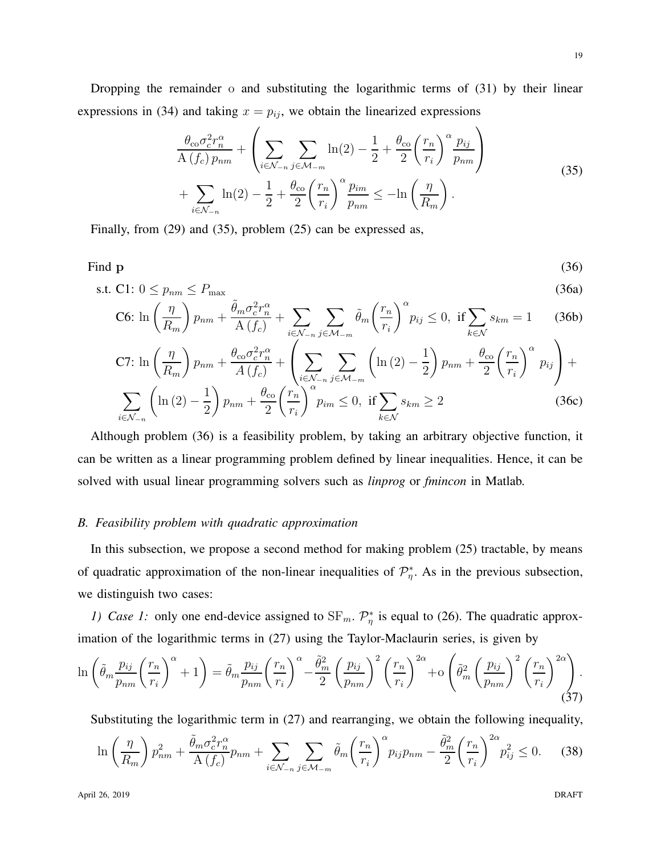Dropping the remainder o and substituting the logarithmic terms of (31) by their linear expressions in (34) and taking  $x = p_{ij}$ , we obtain the linearized expressions

$$
\frac{\theta_{\rm co}\sigma_c^2 r_n^{\alpha}}{\mathcal{A}(f_c) p_{nm}} + \left(\sum_{i \in \mathcal{N}_{-n}} \sum_{j \in \mathcal{M}_{-m}} \ln(2) - \frac{1}{2} + \frac{\theta_{\rm co}}{2} \left(\frac{r_n}{r_i}\right)^{\alpha} \frac{p_{ij}}{p_{nm}}\right) + \sum_{i \in \mathcal{N}_{-n}} \ln(2) - \frac{1}{2} + \frac{\theta_{\rm co}}{2} \left(\frac{r_n}{r_i}\right)^{\alpha} \frac{p_{im}}{p_{nm}} \leq -\ln\left(\frac{\eta}{R_m}\right). \tag{35}
$$

Finally, from (29) and (35), problem (25) can be expressed as,

Find p  
\n
$$
\text{s.t. } \text{C1: } 0 \le p_{nm} \le P_{\text{max}} \tag{36a}
$$

$$
\text{C6: } \ln\left(\frac{\eta}{R_m}\right) p_{nm} + \frac{\tilde{\theta}_m \sigma_c^2 r_n^{\alpha}}{\mathcal{A}\left(f_c\right)} + \sum_{i \in \mathcal{N}_{-n}} \sum_{j \in \mathcal{M}_{-m}} \tilde{\theta}_m \left(\frac{r_n}{r_i}\right)^{\alpha} p_{ij} \le 0, \text{ if } \sum_{k \in \mathcal{N}} s_{km} = 1 \tag{36b}
$$

$$
\text{C7: } \ln\left(\frac{\eta}{R_m}\right) p_{nm} + \frac{\theta_{\text{co}} \sigma_c^2 r_n^{\alpha}}{A\left(f_c\right)} + \left(\sum_{i \in \mathcal{N}_{-n}} \sum_{j \in \mathcal{M}_{-m}} \left(\ln\left(2\right) - \frac{1}{2}\right) p_{nm} + \frac{\theta_{\text{co}}}{2} \left(\frac{r_n}{r_i}\right)^{\alpha} p_{ij}\right) + \sum_{i \in \mathcal{N}_{-n}} \left(\ln\left(2\right) - \frac{1}{2}\right) p_{nm} + \frac{\theta_{\text{co}}}{2} \left(\frac{r_n}{r_i}\right)^{\alpha} p_{im} \le 0, \text{ if } \sum_{k \in \mathcal{N}} s_{km} \ge 2 \tag{36c}
$$

Although problem (36) is a feasibility problem, by taking an arbitrary objective function, it can be written as a linear programming problem defined by linear inequalities. Hence, it can be solved with usual linear programming solvers such as *linprog* or *fmincon* in Matlab.

#### *B. Feasibility problem with quadratic approximation*

In this subsection, we propose a second method for making problem (25) tractable, by means of quadratic approximation of the non-linear inequalities of  $\mathcal{P}_\eta^*$ . As in the previous subsection, we distinguish two cases:

*1) Case 1:* only one end-device assigned to  $SF_m$ .  $\mathcal{P}_\eta^*$  is equal to (26). The quadratic approximation of the logarithmic terms in (27) using the Taylor-Maclaurin series, is given by

$$
\ln\left(\tilde{\theta}_m \frac{p_{ij}}{p_{nm}} \left(\frac{r_n}{r_i}\right)^{\alpha} + 1\right) = \tilde{\theta}_m \frac{p_{ij}}{p_{nm}} \left(\frac{r_n}{r_i}\right)^{\alpha} - \frac{\tilde{\theta}_m^2}{2} \left(\frac{p_{ij}}{p_{nm}}\right)^2 \left(\frac{r_n}{r_i}\right)^{2\alpha} + o\left(\tilde{\theta}_m^2 \left(\frac{p_{ij}}{p_{nm}}\right)^2 \left(\frac{r_n}{r_i}\right)^{2\alpha}\right).
$$
\n(37)

Substituting the logarithmic term in (27) and rearranging, we obtain the following inequality,

$$
\ln\left(\frac{\eta}{R_m}\right)p_{nm}^2 + \frac{\tilde{\theta}_m \sigma_c^2 r_n^{\alpha}}{A\left(f_c\right)} p_{nm} + \sum_{i \in \mathcal{N}_{-n}} \sum_{j \in \mathcal{M}_{-m}} \tilde{\theta}_m \left(\frac{r_n}{r_i}\right)^{\alpha} p_{ij} p_{nm} - \frac{\tilde{\theta}_m^2}{2} \left(\frac{r_n}{r_i}\right)^{2\alpha} p_{ij}^2 \le 0. \tag{38}
$$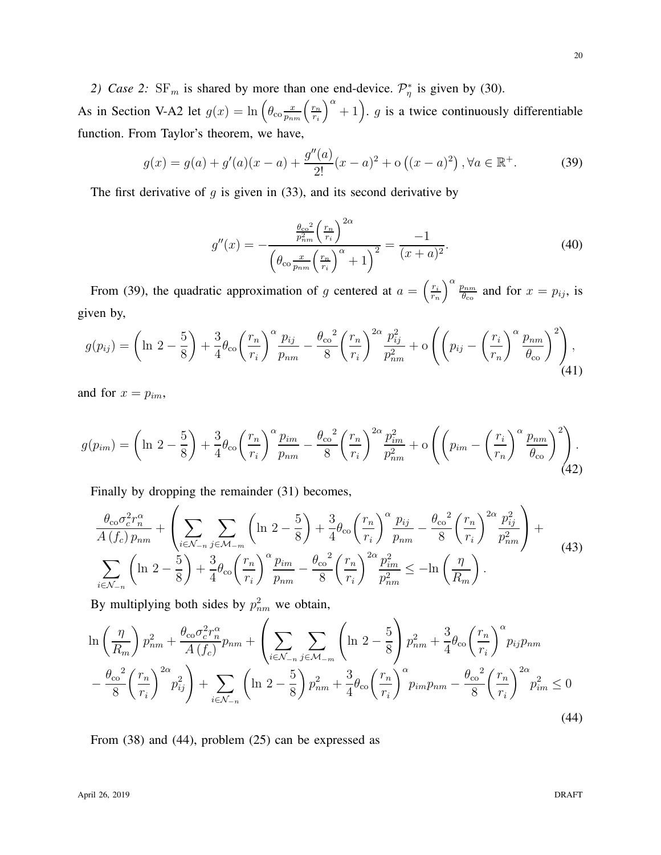2) Case 2:  $SF_m$  is shared by more than one end-device.  $\mathcal{P}_\eta^*$  is given by (30).

As in Section V-A2 let  $g(x) = \ln \left( \theta_{\rm co} \frac{x}{p_{nm}} \left( \frac{r_n}{r_i} \right) \right)$ ri  $a^{2}$  + 1). g is a twice continuously differentiable function. From Taylor's theorem, we have,

$$
g(x) = g(a) + g'(a)(x - a) + \frac{g''(a)}{2!}(x - a)^2 + o((x - a)^2), \forall a \in \mathbb{R}^+.
$$
 (39)

The first derivative of  $g$  is given in (33), and its second derivative by

$$
g''(x) = -\frac{\frac{\theta_{\rm co}^2}{p_{nm}^2} \left(\frac{r_n}{r_i}\right)^{2\alpha}}{\left(\theta_{\rm co} \frac{x}{p_{nm}} \left(\frac{r_n}{r_i}\right)^{\alpha} + 1\right)^2} = \frac{-1}{(x+a)^2}.
$$
 (40)

From (39), the quadratic approximation of g centered at  $a = \left(\frac{r_i}{r_a}\right)^2$  $\left(\frac{r_i}{r_n}\right)^{\alpha} \frac{p_{nm}}{\theta_{\rm co}}$  $\frac{\partial n_m}{\partial c_o}$  and for  $x = p_{ij}$ , is given by,

$$
g(p_{ij}) = \left(\ln 2 - \frac{5}{8}\right) + \frac{3}{4}\theta_{\text{co}}\left(\frac{r_n}{r_i}\right)^{\alpha}\frac{p_{ij}}{p_{nm}} - \frac{\theta_{\text{co}}^2}{8}\left(\frac{r_n}{r_i}\right)^{2\alpha}\frac{p_{ij}^2}{p_{nm}^2} + \mathcal{O}\left(\left(p_{ij} - \left(\frac{r_i}{r_n}\right)^{\alpha}\frac{p_{nm}}{\theta_{\text{co}}}\right)^2\right),\tag{41}
$$

and for  $x = p_{im}$ ,

$$
g(p_{im}) = \left(\ln 2 - \frac{5}{8}\right) + \frac{3}{4}\theta_{\text{co}}\left(\frac{r_n}{r_i}\right)^{\alpha}\frac{p_{im}}{p_{nm}} - \frac{\theta_{\text{co}}^2}{8}\left(\frac{r_n}{r_i}\right)^{2\alpha}\frac{p_{im}^2}{p_{nm}^2} + \mathcal{O}\left(\left(p_{im} - \left(\frac{r_i}{r_n}\right)^{\alpha}\frac{p_{nm}}{\theta_{\text{co}}}\right)^2\right) \tag{42}
$$

Finally by dropping the remainder (31) becomes,

$$
\frac{\theta_{\rm co}\sigma_c^2 r_n^{\alpha}}{A\left(f_c\right) p_{nm}} + \left(\sum_{i \in \mathcal{N}_{-n}} \sum_{j \in \mathcal{M}_{-m}} \left(\ln 2 - \frac{5}{8}\right) + \frac{3}{4} \theta_{\rm co} \left(\frac{r_n}{r_i}\right)^{\alpha} \frac{p_{ij}}{p_{nm}} - \frac{\theta_{\rm co}^2}{8} \left(\frac{r_n}{r_i}\right)^{2\alpha} \frac{p_{ij}^2}{p_{nm}^2}\right) + \sum_{i \in \mathcal{N}_{-n}} \left(\ln 2 - \frac{5}{8}\right) + \frac{3}{4} \theta_{\rm co} \left(\frac{r_n}{r_i}\right)^{\alpha} \frac{p_{im}}{p_{nm}} - \frac{\theta_{\rm co}^2}{8} \left(\frac{r_n}{r_i}\right)^{2\alpha} \frac{p_{im}^2}{p_{nm}^2} \leq -\ln\left(\frac{\eta}{R_m}\right). \tag{43}
$$

By multiplying both sides by  $p_{nm}^2$  we obtain,

$$
\ln\left(\frac{\eta}{R_m}\right)p_{nm}^2 + \frac{\theta_{\rm co}\sigma_c^2 r_n^{\alpha}}{A\left(f_c\right)}p_{nm} + \left(\sum_{i\in\mathcal{N}_{-n}}\sum_{j\in\mathcal{M}_{-m}}\left(\ln 2 - \frac{5}{8}\right)p_{nm}^2 + \frac{3}{4}\theta_{\rm co}\left(\frac{r_n}{r_i}\right)^{\alpha}p_{ij}p_{nm} - \frac{\theta_{\rm co}^2}{8}\left(\frac{r_n}{r_i}\right)^{2\alpha}p_{ij}^2\right) + \sum_{i\in\mathcal{N}_{-n}}\left(\ln 2 - \frac{5}{8}\right)p_{nm}^2 + \frac{3}{4}\theta_{\rm co}\left(\frac{r_n}{r_i}\right)^{\alpha}p_{im}p_{nm} - \frac{\theta_{\rm co}^2}{8}\left(\frac{r_n}{r_i}\right)^{2\alpha}p_{im}^2 \le 0\tag{44}
$$

From (38) and (44), problem (25) can be expressed as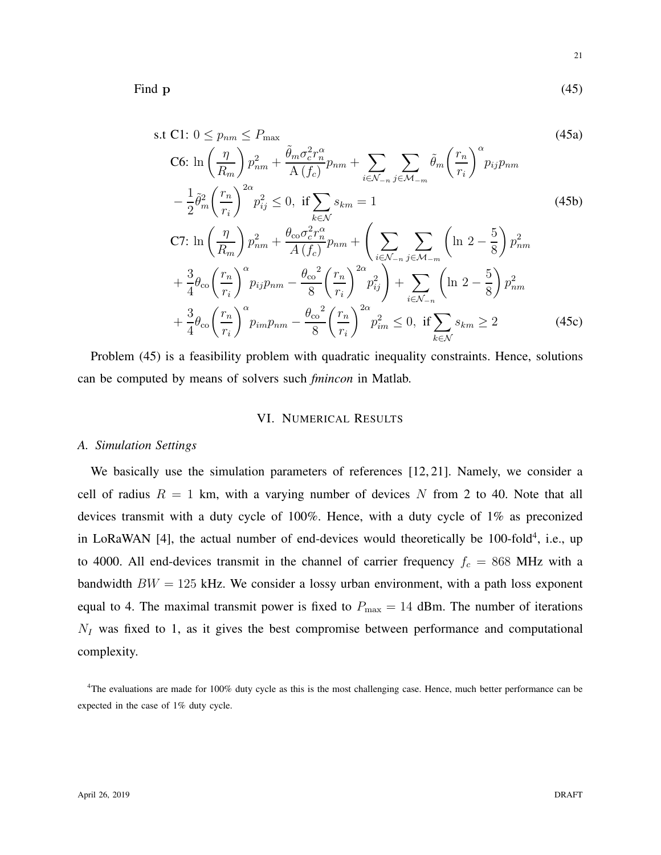Find  $p$  (45)

s.t C1: 
$$
0 \le p_{nm} \le P_{\text{max}}
$$
  
\nC6:  $\ln\left(\frac{\eta}{R_m}\right) p_{nm}^2 + \frac{\tilde{\theta}_m \sigma_c^2 r_n^{\alpha}}{A(f_c)} p_{nm} + \sum_{i \in \mathcal{N}_{-n}} \sum_{j \in \mathcal{M}_{-m}} \tilde{\theta}_m \left(\frac{r_n}{r_i}\right)^{\alpha} p_{ij} p_{nm}$   
\n
$$
- \frac{1}{2} \tilde{\theta}_m^2 \left(\frac{r_n}{r_i}\right)^{2\alpha} p_{ij}^2 \le 0, \text{ if } \sum_{k \in \mathcal{N}} s_{km} = 1
$$
\nC7:  $\ln\left(\frac{\eta}{R_m}\right) p_{nm}^2 + \frac{\theta_{\text{co}} \sigma_c^2 r_n^{\alpha}}{A(f_c)} p_{nm} + \left(\sum_{i \in \mathcal{N}_{-n}} \sum_{j \in \mathcal{M}_{-m}} \left(\ln 2 - \frac{5}{8}\right) p_{nm}^2 + \frac{3}{4} \theta_{\text{co}} \left(\frac{r_n}{r_i}\right)^{\alpha} p_{ij} p_{nm} - \frac{\theta_{\text{co}}^2}{8} \left(\frac{r_n}{r_i}\right)^{2\alpha} p_{ij}^2\right) + \sum_{i \in \mathcal{N}_{-n}} \left(\ln 2 - \frac{5}{8}\right) p_{nm}^2 + \frac{3}{4} \theta_{\text{co}} \left(\frac{r_n}{r_i}\right)^{\alpha} p_{im} p_{nm} - \frac{\theta_{\text{co}}^2}{8} \left(\frac{r_n}{r_i}\right)^{2\alpha} p_{im}^2 \le 0, \text{ if } \sum_{k \in \mathcal{N}} s_{km} \ge 2$ \n(45c)

Problem (45) is a feasibility problem with quadratic inequality constraints. Hence, solutions can be computed by means of solvers such *fmincon* in Matlab.

## VI. NUMERICAL RESULTS

#### *A. Simulation Settings*

We basically use the simulation parameters of references [12, 21]. Namely, we consider a cell of radius  $R = 1$  km, with a varying number of devices N from 2 to 40. Note that all devices transmit with a duty cycle of 100%. Hence, with a duty cycle of 1% as preconized in LoRaWAN [4], the actual number of end-devices would theoretically be  $100$ -fold<sup>4</sup>, i.e., up to 4000. All end-devices transmit in the channel of carrier frequency  $f_c = 868$  MHz with a bandwidth  $BW = 125$  kHz. We consider a lossy urban environment, with a path loss exponent equal to 4. The maximal transmit power is fixed to  $P_{\text{max}} = 14$  dBm. The number of iterations  $N_I$  was fixed to 1, as it gives the best compromise between performance and computational complexity.

<sup>&</sup>lt;sup>4</sup>The evaluations are made for 100% duty cycle as this is the most challenging case. Hence, much better performance can be expected in the case of 1% duty cycle.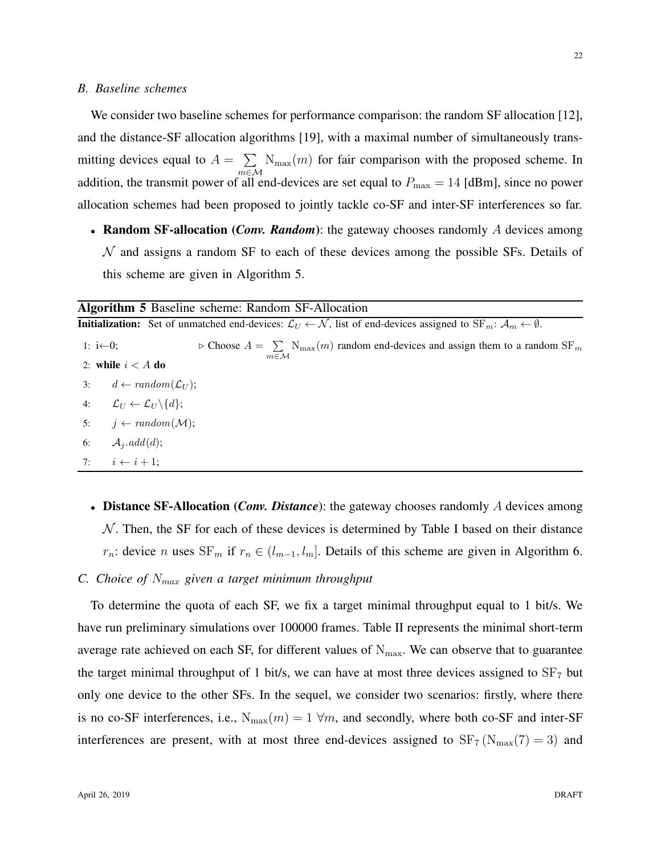#### *B. Baseline schemes*

We consider two baseline schemes for performance comparison: the random SF allocation [12], and the distance-SF allocation algorithms [19], with a maximal number of simultaneously transmitting devices equal to  $A = \sum$ m∈M  $N_{\text{max}}(m)$  for fair comparison with the proposed scheme. In addition, the transmit power of all end-devices are set equal to  $P_{\text{max}} = 14$  [dBm], since no power allocation schemes had been proposed to jointly tackle co-SF and inter-SF interferences so far.

• **Random SF-allocation** (*Conv. Random*): the gateway chooses randomly A devices among  $N$  and assigns a random SF to each of these devices among the possible SFs. Details of this scheme are given in Algorithm 5.

|                       | <b>Algorithm 5</b> Baseline scheme: Random SF-Allocation                                                                                                                      |  |  |  |  |
|-----------------------|-------------------------------------------------------------------------------------------------------------------------------------------------------------------------------|--|--|--|--|
|                       | <b>Initialization:</b> Set of unmatched end-devices: $\mathcal{L}_U \leftarrow \mathcal{N}$ , list of end-devices assigned to $SF_m$ : $\mathcal{A}_m \leftarrow \emptyset$ . |  |  |  |  |
| 1: $i \leftarrow 0$ ; | $\triangleright$ Choose $A = \sum_{m} N_{\text{max}}(m)$ random end-devices and assign them to a random SF <sub>m</sub><br>$m \in \mathcal{M}$                                |  |  |  |  |
|                       | 2: while $i < A$ do                                                                                                                                                           |  |  |  |  |
|                       | 3: $d \leftarrow random(\mathcal{L}_U);$                                                                                                                                      |  |  |  |  |
|                       | 4: $\mathcal{L}_U \leftarrow \mathcal{L}_U \setminus \{d\};$                                                                                                                  |  |  |  |  |
| 5:                    | $j \leftarrow random(\mathcal{M});$                                                                                                                                           |  |  |  |  |
| 6:                    | $\mathcal{A}_i$ . add $(d)$ ;                                                                                                                                                 |  |  |  |  |
|                       | 7: $i \leftarrow i+1$ :                                                                                                                                                       |  |  |  |  |

• **Distance SF-Allocation** (*Conv. Distance*): the gateway chooses randomly A devices among  $N$ . Then, the SF for each of these devices is determined by Table I based on their distance  $r_n$ : device n uses SF<sub>m</sub> if  $r_n \in (l_{m-1}, l_m]$ . Details of this scheme are given in Algorithm 6.

### *C. Choice of* Nmax *given a target minimum throughput*

To determine the quota of each SF, we fix a target minimal throughput equal to 1 bit/s. We have run preliminary simulations over 100000 frames. Table II represents the minimal short-term average rate achieved on each SF, for different values of  $N_{\text{max}}$ . We can observe that to guarantee the target minimal throughput of 1 bit/s, we can have at most three devices assigned to  $SF<sub>7</sub>$  but only one device to the other SFs. In the sequel, we consider two scenarios: firstly, where there is no co-SF interferences, i.e.,  $N_{\text{max}}(m) = 1 \forall m$ , and secondly, where both co-SF and inter-SF interferences are present, with at most three end-devices assigned to  $SF_7(N_{\text{max}}(7) = 3)$  and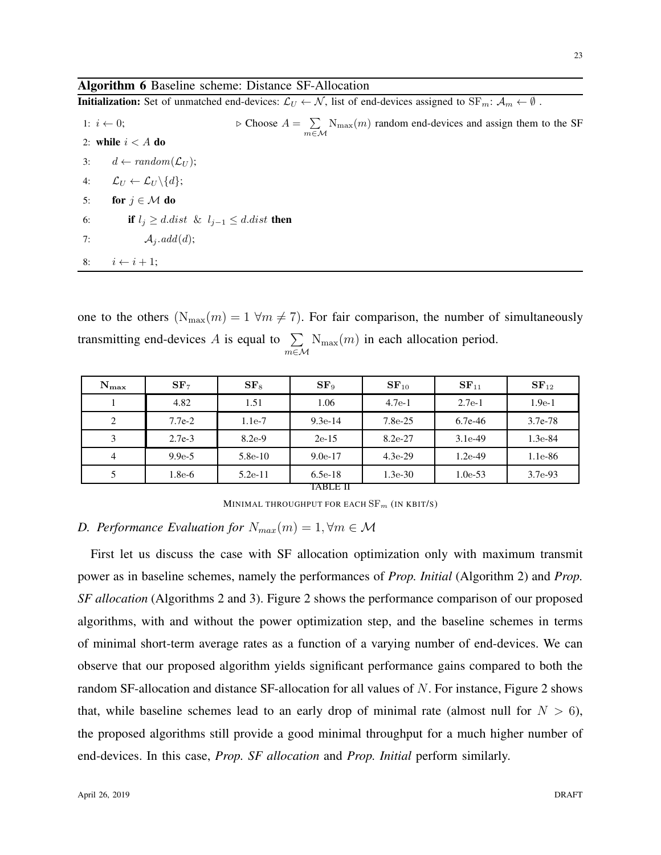## Algorithm 6 Baseline scheme: Distance SF-Allocation

**Initialization:** Set of unmatched end-devices:  $\mathcal{L}_U \leftarrow \mathcal{N}$ , list of end-devices assigned to  $SF_m$ :  $\mathcal{A}_m \leftarrow \emptyset$ .

1:  $i \leftarrow 0;$   $\triangleright$  Choose  $A = \sum$  $\sum_{m \in \mathcal{M}}$  N<sub>max</sub> $(m)$  random end-devices and assign them to the SF 2: while  $i < A$  do 3:  $d \leftarrow random(\mathcal{L}_U);$ 4:  $\mathcal{L}_U \leftarrow \mathcal{L}_U \backslash \{d\};$ 5: for  $j \in \mathcal{M}$  do 6: if  $l_j \geq d$ .dist &  $l_{j-1} \leq d$ .dist then 7:  $\mathcal{A}_i.add(d);$ 8:  $i \leftarrow i + 1;$ 

one to the others  $(N_{\text{max}}(m) = 1 \forall m \neq 7)$ . For fair comparison, the number of simultaneously transmitting end-devices A is equal to  $\Sigma$ m∈M  $N_{\text{max}}(m)$  in each allocation period.

| $N_{\rm max}$  | SF <sub>7</sub> | SF <sub>8</sub> | SF <sub>9</sub> | $SF_{10}$ | $SF_{11}$ | $SF_{12}$ |
|----------------|-----------------|-----------------|-----------------|-----------|-----------|-----------|
|                | 4.82            | 1.51            | 1.06            | $4.7e-1$  | $2.7e-1$  | $1.9e-1$  |
| 2              | $7.7e-2$        | $1.1e-7$        | $9.3e-14$       | $7.8e-25$ | $6.7e-46$ | $3.7e-78$ |
| 3              | $2.7e-3$        | $8.2e-9$        | $2e-15$         | $8.2e-27$ | $3.1e-49$ | $1.3e-84$ |
| $\overline{4}$ | $9.9e-5$        | $5.8e-10$       | $9.0e-17$       | $4.3e-29$ | $1.2e-49$ | $1.1e-86$ |
| 5              | $1.8e-6$        | $5.2e-11$       | $6.5e-18$       | $1.3e-30$ | $1.0e-53$ | $3.7e-93$ |
|                |                 |                 | TABLE II        |           |           |           |

MINIMAL THROUGHPUT FOR EACH  $SF_m$  (IN KBIT/S)

# *D. Performance Evaluation for*  $N_{max}(m) = 1, \forall m \in \mathcal{M}$

First let us discuss the case with SF allocation optimization only with maximum transmit power as in baseline schemes, namely the performances of *Prop. Initial* (Algorithm 2) and *Prop. SF allocation* (Algorithms 2 and 3). Figure 2 shows the performance comparison of our proposed algorithms, with and without the power optimization step, and the baseline schemes in terms of minimal short-term average rates as a function of a varying number of end-devices. We can observe that our proposed algorithm yields significant performance gains compared to both the random SF-allocation and distance SF-allocation for all values of N. For instance, Figure 2 shows that, while baseline schemes lead to an early drop of minimal rate (almost null for  $N > 6$ ), the proposed algorithms still provide a good minimal throughput for a much higher number of end-devices. In this case, *Prop. SF allocation* and *Prop. Initial* perform similarly.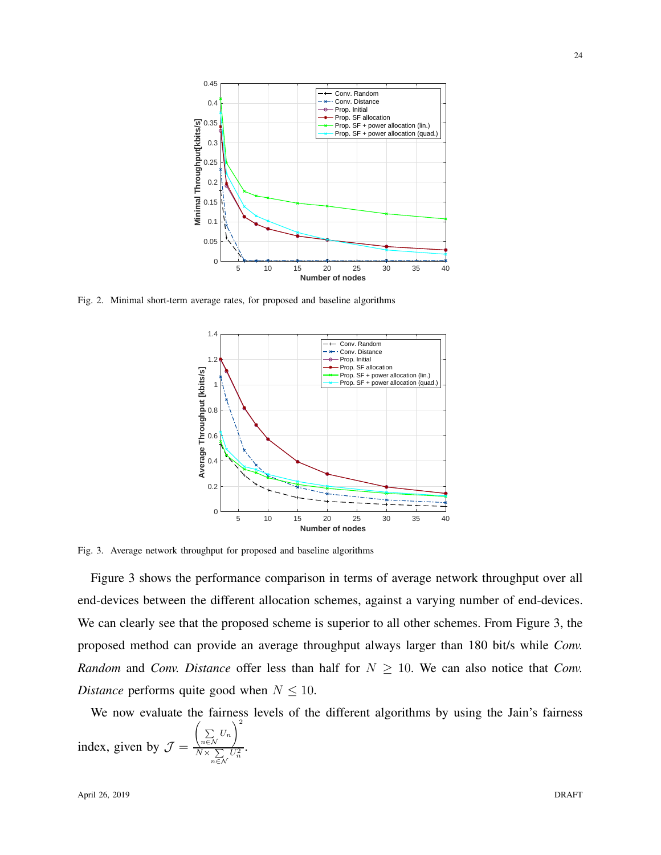

Fig. 2. Minimal short-term average rates, for proposed and baseline algorithms



Fig. 3. Average network throughput for proposed and baseline algorithms

Figure 3 shows the performance comparison in terms of average network throughput over all end-devices between the different allocation schemes, against a varying number of end-devices. We can clearly see that the proposed scheme is superior to all other schemes. From Figure 3, the proposed method can provide an average throughput always larger than 180 bit/s while *Conv. Random* and *Conv. Distance* offer less than half for  $N \geq 10$ . We can also notice that *Conv. Distance* performs quite good when  $N \leq 10$ .

We now evaluate the fairness levels of the different algorithms by using the Jain's fairness index, given by  $\mathcal{J} =$  $\left(\sum_{n\in\mathcal{N}}U_n\right)^2$  $N \times \sum_{n \in \mathcal{N}} U_n^2$ .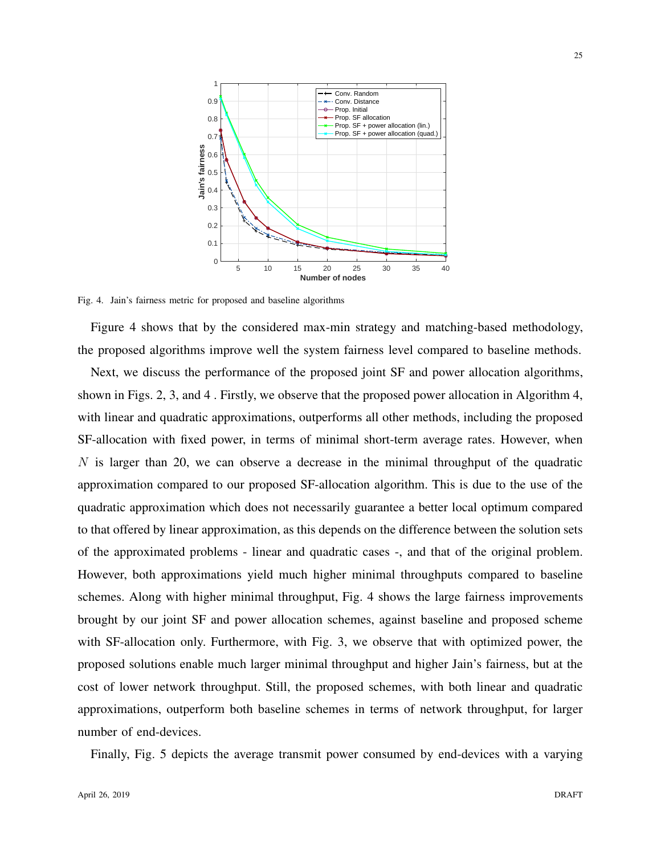

Fig. 4. Jain's fairness metric for proposed and baseline algorithms

Figure 4 shows that by the considered max-min strategy and matching-based methodology, the proposed algorithms improve well the system fairness level compared to baseline methods.

Next, we discuss the performance of the proposed joint SF and power allocation algorithms, shown in Figs. 2, 3, and 4 . Firstly, we observe that the proposed power allocation in Algorithm 4, with linear and quadratic approximations, outperforms all other methods, including the proposed SF-allocation with fixed power, in terms of minimal short-term average rates. However, when  $N$  is larger than 20, we can observe a decrease in the minimal throughput of the quadratic approximation compared to our proposed SF-allocation algorithm. This is due to the use of the quadratic approximation which does not necessarily guarantee a better local optimum compared to that offered by linear approximation, as this depends on the difference between the solution sets of the approximated problems - linear and quadratic cases -, and that of the original problem. However, both approximations yield much higher minimal throughputs compared to baseline schemes. Along with higher minimal throughput, Fig. 4 shows the large fairness improvements brought by our joint SF and power allocation schemes, against baseline and proposed scheme with SF-allocation only. Furthermore, with Fig. 3, we observe that with optimized power, the proposed solutions enable much larger minimal throughput and higher Jain's fairness, but at the cost of lower network throughput. Still, the proposed schemes, with both linear and quadratic approximations, outperform both baseline schemes in terms of network throughput, for larger number of end-devices.

Finally, Fig. 5 depicts the average transmit power consumed by end-devices with a varying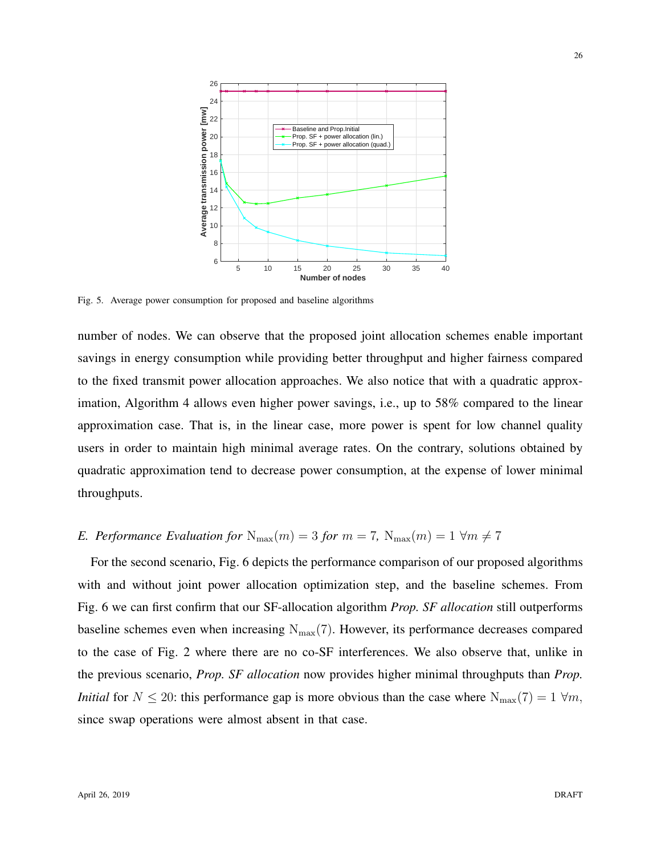

Fig. 5. Average power consumption for proposed and baseline algorithms

number of nodes. We can observe that the proposed joint allocation schemes enable important savings in energy consumption while providing better throughput and higher fairness compared to the fixed transmit power allocation approaches. We also notice that with a quadratic approximation, Algorithm 4 allows even higher power savings, i.e., up to 58% compared to the linear approximation case. That is, in the linear case, more power is spent for low channel quality users in order to maintain high minimal average rates. On the contrary, solutions obtained by quadratic approximation tend to decrease power consumption, at the expense of lower minimal throughputs.

# *E. Performance Evaluation for*  $N_{\text{max}}(m) = 3$  *for*  $m = 7$ ,  $N_{\text{max}}(m) = 1 \forall m \neq 7$

For the second scenario, Fig. 6 depicts the performance comparison of our proposed algorithms with and without joint power allocation optimization step, and the baseline schemes. From Fig. 6 we can first confirm that our SF-allocation algorithm *Prop. SF allocation* still outperforms baseline schemes even when increasing  $N_{\text{max}}(7)$ . However, its performance decreases compared to the case of Fig. 2 where there are no co-SF interferences. We also observe that, unlike in the previous scenario, *Prop. SF allocation* now provides higher minimal throughputs than *Prop. Initial* for  $N \le 20$ : this performance gap is more obvious than the case where  $N_{\text{max}}(7) = 1 \forall m$ , since swap operations were almost absent in that case.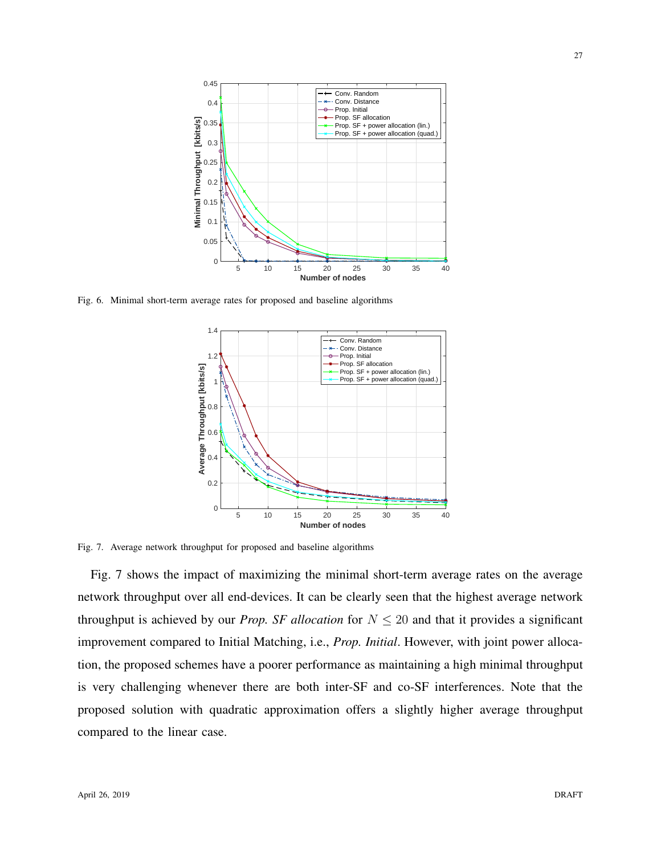

Fig. 6. Minimal short-term average rates for proposed and baseline algorithms



Fig. 7. Average network throughput for proposed and baseline algorithms

Fig. 7 shows the impact of maximizing the minimal short-term average rates on the average network throughput over all end-devices. It can be clearly seen that the highest average network throughput is achieved by our *Prop. SF allocation* for  $N \leq 20$  and that it provides a significant improvement compared to Initial Matching, i.e., *Prop. Initial*. However, with joint power allocation, the proposed schemes have a poorer performance as maintaining a high minimal throughput is very challenging whenever there are both inter-SF and co-SF interferences. Note that the proposed solution with quadratic approximation offers a slightly higher average throughput compared to the linear case.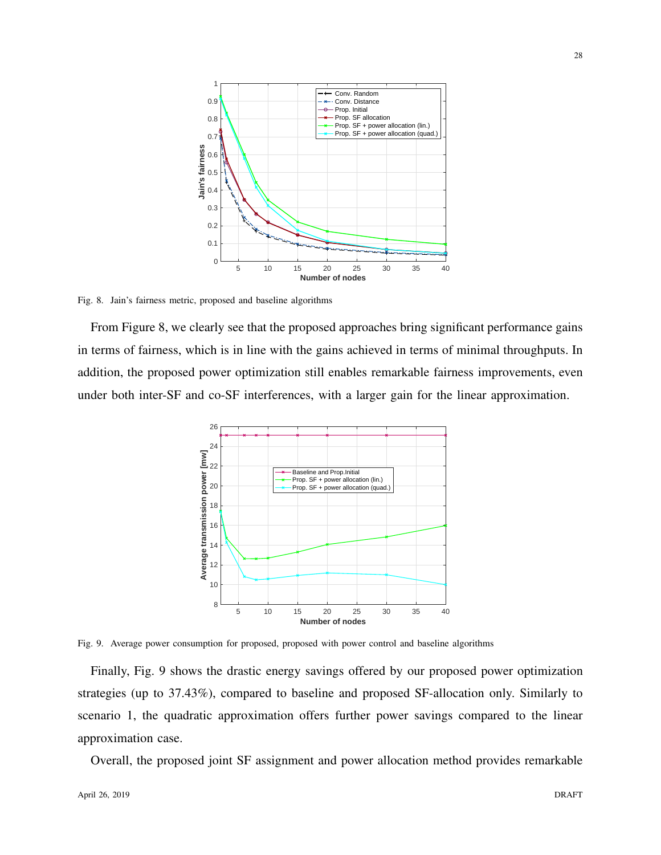

Fig. 8. Jain's fairness metric, proposed and baseline algorithms

From Figure 8, we clearly see that the proposed approaches bring significant performance gains in terms of fairness, which is in line with the gains achieved in terms of minimal throughputs. In addition, the proposed power optimization still enables remarkable fairness improvements, even under both inter-SF and co-SF interferences, with a larger gain for the linear approximation.



Fig. 9. Average power consumption for proposed, proposed with power control and baseline algorithms

Finally, Fig. 9 shows the drastic energy savings offered by our proposed power optimization strategies (up to 37.43%), compared to baseline and proposed SF-allocation only. Similarly to scenario 1, the quadratic approximation offers further power savings compared to the linear approximation case.

Overall, the proposed joint SF assignment and power allocation method provides remarkable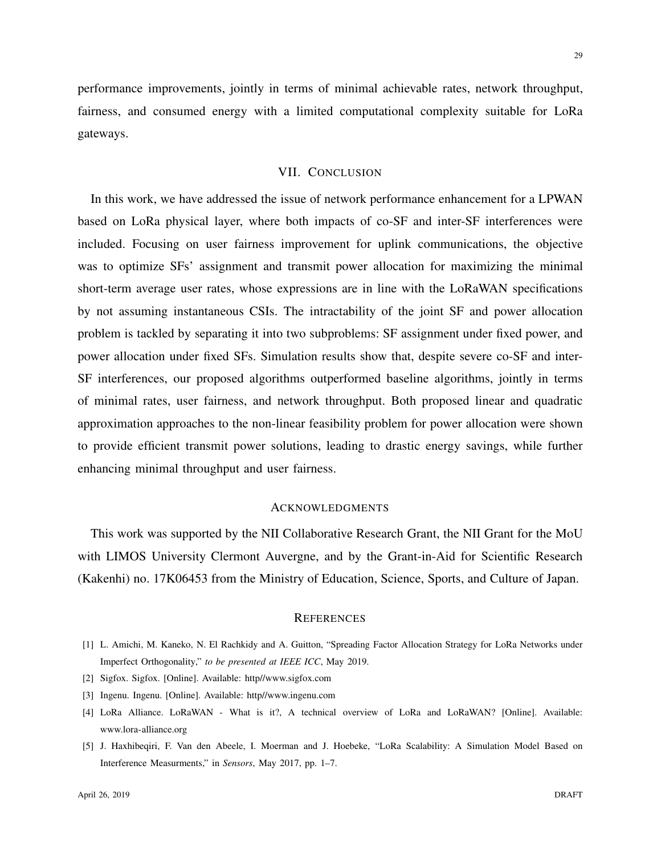performance improvements, jointly in terms of minimal achievable rates, network throughput, fairness, and consumed energy with a limited computational complexity suitable for LoRa gateways.

## VII. CONCLUSION

In this work, we have addressed the issue of network performance enhancement for a LPWAN based on LoRa physical layer, where both impacts of co-SF and inter-SF interferences were included. Focusing on user fairness improvement for uplink communications, the objective was to optimize SFs' assignment and transmit power allocation for maximizing the minimal short-term average user rates, whose expressions are in line with the LoRaWAN specifications by not assuming instantaneous CSIs. The intractability of the joint SF and power allocation problem is tackled by separating it into two subproblems: SF assignment under fixed power, and power allocation under fixed SFs. Simulation results show that, despite severe co-SF and inter-SF interferences, our proposed algorithms outperformed baseline algorithms, jointly in terms of minimal rates, user fairness, and network throughput. Both proposed linear and quadratic approximation approaches to the non-linear feasibility problem for power allocation were shown to provide efficient transmit power solutions, leading to drastic energy savings, while further enhancing minimal throughput and user fairness.

#### ACKNOWLEDGMENTS

This work was supported by the NII Collaborative Research Grant, the NII Grant for the MoU with LIMOS University Clermont Auvergne, and by the Grant-in-Aid for Scientific Research (Kakenhi) no. 17K06453 from the Ministry of Education, Science, Sports, and Culture of Japan.

#### **REFERENCES**

- [1] L. Amichi, M. Kaneko, N. El Rachkidy and A. Guitton, "Spreading Factor Allocation Strategy for LoRa Networks under Imperfect Orthogonality," *to be presented at IEEE ICC*, May 2019.
- [2] Sigfox. Sigfox. [Online]. Available: http//www.sigfox.com
- [3] Ingenu. Ingenu. [Online]. Available: http//www.ingenu.com
- [4] LoRa Alliance. LoRaWAN What is it?, A technical overview of LoRa and LoRaWAN? [Online]. Available: www.lora-alliance.org
- [5] J. Haxhibeqiri, F. Van den Abeele, I. Moerman and J. Hoebeke, "LoRa Scalability: A Simulation Model Based on Interference Measurments," in *Sensors*, May 2017, pp. 1–7.